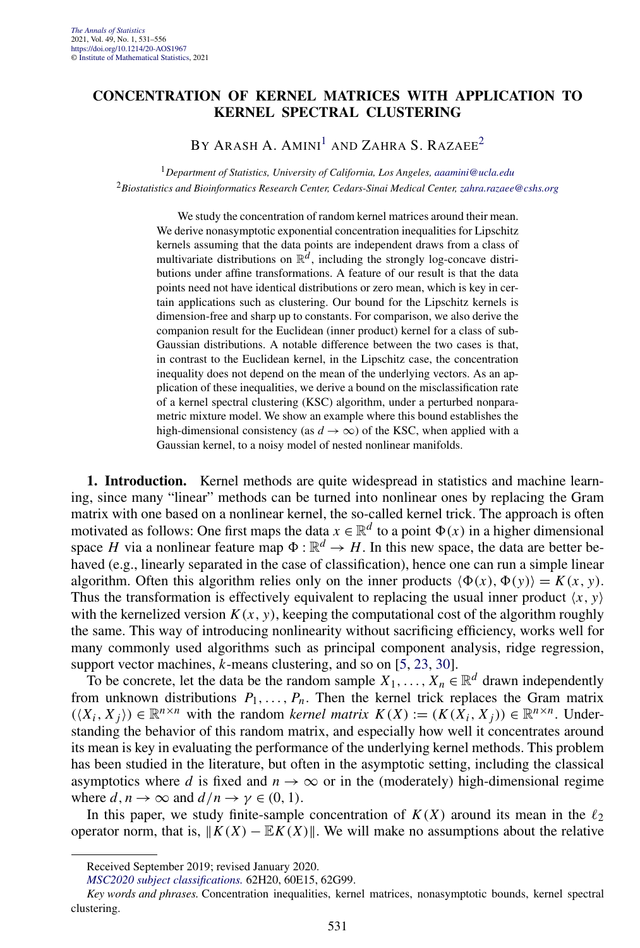## **CONCENTRATION OF KERNEL MATRICES WITH APPLICATION TO KERNEL SPECTRAL CLUSTERING**

BY ARASH A. AMINI<sup>1</sup> AND ZAHRA S. RAZAEE<sup>2</sup>

<sup>1</sup>*Department of Statistics, University of California, Los Angeles, [aaamini@ucla.edu](mailto:aaamini@ucla.edu)* <sup>2</sup>*Biostatistics and Bioinformatics Research Center, Cedars-Sinai Medical Center, [zahra.razaee@cshs.org](mailto:zahra.razaee@cshs.org)*

We study the concentration of random kernel matrices around their mean. We derive nonasymptotic exponential concentration inequalities for Lipschitz kernels assuming that the data points are independent draws from a class of multivariate distributions on  $\mathbb{R}^d$ , including the strongly log-concave distributions under affine transformations. A feature of our result is that the data points need not have identical distributions or zero mean, which is key in certain applications such as clustering. Our bound for the Lipschitz kernels is dimension-free and sharp up to constants. For comparison, we also derive the companion result for the Euclidean (inner product) kernel for a class of sub-Gaussian distributions. A notable difference between the two cases is that, in contrast to the Euclidean kernel, in the Lipschitz case, the concentration inequality does not depend on the mean of the underlying vectors. As an application of these inequalities, we derive a bound on the misclassification rate of a kernel spectral clustering (KSC) algorithm, under a perturbed nonparametric mixture model. We show an example where this bound establishes the high-dimensional consistency (as  $d \rightarrow \infty$ ) of the KSC, when applied with a Gaussian kernel, to a noisy model of nested nonlinear manifolds.

**1. Introduction.** Kernel methods are quite widespread in statistics and machine learning, since many "linear" methods can be turned into nonlinear ones by replacing the Gram matrix with one based on a nonlinear kernel, the so-called kernel trick. The approach is often motivated as follows: One first maps the data  $x \in \mathbb{R}^d$  to a point  $\Phi(x)$  in a higher dimensional space *H* via a nonlinear feature map  $\Phi : \mathbb{R}^d \to H$ . In this new space, the data are better behaved (e.g., linearly separated in the case of classification), hence one can run a simple linear algorithm. Often this algorithm relies only on the inner products  $\langle \Phi(x), \Phi(y) \rangle = K(x, y)$ . Thus the transformation is effectively equivalent to replacing the usual inner product  $\langle x, y \rangle$ with the kernelized version  $K(x, y)$ , keeping the computational cost of the algorithm roughly the same. This way of introducing nonlinearity without sacrificing efficiency, works well for many commonly used algorithms such as principal component analysis, ridge regression, support vector machines, *k*-means clustering, and so on [\[5,](#page-24-0) [23,](#page-24-0) [30\]](#page-25-0).

To be concrete, let the data be the random sample  $X_1, \ldots, X_n \in \mathbb{R}^d$  drawn independently from unknown distributions  $P_1, \ldots, P_n$ . Then the kernel trick replaces the Gram matrix  $((X_i, X_j)) \in \mathbb{R}^{n \times n}$  with the random *kernel matrix*  $K(X) := (K(X_i, X_j)) \in \mathbb{R}^{n \times n}$ . Understanding the behavior of this random matrix, and especially how well it concentrates around its mean is key in evaluating the performance of the underlying kernel methods. This problem has been studied in the literature, but often in the asymptotic setting, including the classical asymptotics where *d* is fixed and  $n \to \infty$  or in the (moderately) high-dimensional regime where  $d, n \to \infty$  and  $d/n \to \gamma \in (0, 1)$ .

In this paper, we study finite-sample concentration of  $K(X)$  around its mean in the  $\ell_2$ operator norm, that is,  $||K(X) - EK(X)||$ . We will make no assumptions about the relative

Received September 2019; revised January 2020.

*[MSC2020 subject classifications.](https://mathscinet.ams.org/mathscinet/msc/msc2020.html)* 62H20, 60E15, 62G99.

*Key words and phrases.* Concentration inequalities, kernel matrices, nonasymptotic bounds, kernel spectral clustering.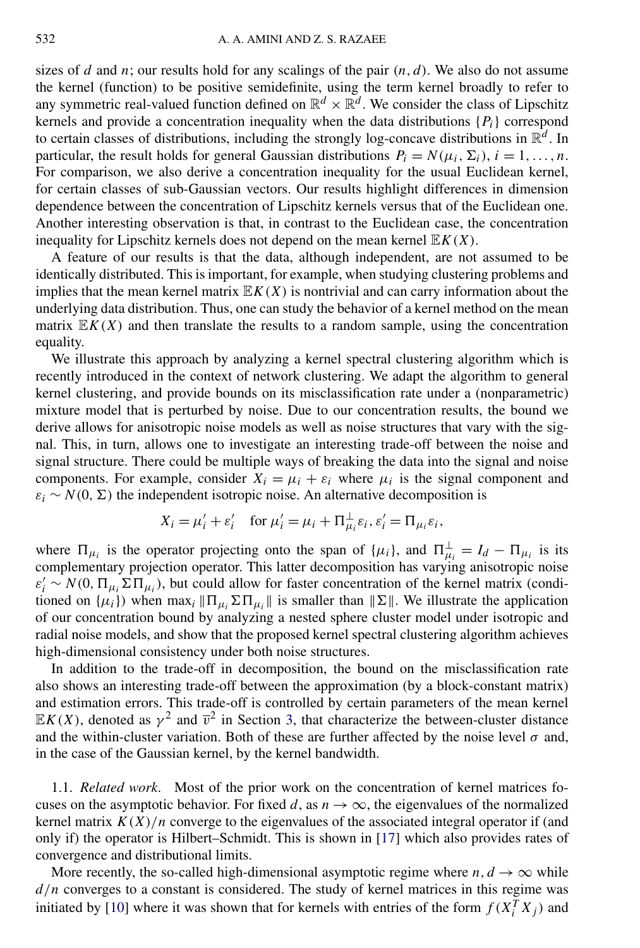sizes of *d* and *n*; our results hold for any scalings of the pair  $(n, d)$ . We also do not assume the kernel (function) to be positive semidefinite, using the term kernel broadly to refer to any symmetric real-valued function defined on  $\mathbb{R}^d \times \mathbb{R}^d$ . We consider the class of Lipschitz kernels and provide a concentration inequality when the data distributions  $\{P_i\}$  correspond to certain classes of distributions, including the strongly log-concave distributions in  $\mathbb{R}^d$ . In particular, the result holds for general Gaussian distributions  $P_i = N(\mu_i, \Sigma_i)$ ,  $i = 1, \ldots, n$ . For comparison, we also derive a concentration inequality for the usual Euclidean kernel, for certain classes of sub-Gaussian vectors. Our results highlight differences in dimension dependence between the concentration of Lipschitz kernels versus that of the Euclidean one. Another interesting observation is that, in contrast to the Euclidean case, the concentration inequality for Lipschitz kernels does not depend on the mean kernel  $\mathbb{E}K(X)$ .

A feature of our results is that the data, although independent, are not assumed to be identically distributed. This is important, for example, when studying clustering problems and implies that the mean kernel matrix  $E K(X)$  is nontrivial and can carry information about the underlying data distribution. Thus, one can study the behavior of a kernel method on the mean matrix  $\mathbb{E}K(X)$  and then translate the results to a random sample, using the concentration equality.

We illustrate this approach by analyzing a kernel spectral clustering algorithm which is recently introduced in the context of network clustering. We adapt the algorithm to general kernel clustering, and provide bounds on its misclassification rate under a (nonparametric) mixture model that is perturbed by noise. Due to our concentration results, the bound we derive allows for anisotropic noise models as well as noise structures that vary with the signal. This, in turn, allows one to investigate an interesting trade-off between the noise and signal structure. There could be multiple ways of breaking the data into the signal and noise components. For example, consider  $X_i = \mu_i + \varepsilon_i$  where  $\mu_i$  is the signal component and  $\varepsilon_i \sim N(0, \Sigma)$  the independent isotropic noise. An alternative decomposition is

$$
X_i = \mu'_i + \varepsilon'_i
$$
 for  $\mu'_i = \mu_i + \Pi_{\mu_i}^{\perp} \varepsilon_i, \varepsilon'_i = \Pi_{\mu_i} \varepsilon_i$ ,

where  $\Pi_{\mu_i}$  is the operator projecting onto the span of  $\{\mu_i\}$ , and  $\Pi_{\mu_i}^{\perp} = I_d - \Pi_{\mu_i}$  is its complementary projection operator. This latter decomposition has varying anisotropic noise  $\varepsilon'_i$  ∼ *N*(0*,*  $\Pi_{\mu_i} \Sigma \Pi_{\mu_i}$ ), but could allow for faster concentration of the kernel matrix (conditioned on  $\{\mu_i\}$  when max<sub>i</sub>  $\|\Pi_{\mu_i} \Sigma \Pi_{\mu_i}\|$  is smaller than  $\|\Sigma\|$ . We illustrate the application of our concentration bound by analyzing a nested sphere cluster model under isotropic and radial noise models, and show that the proposed kernel spectral clustering algorithm achieves high-dimensional consistency under both noise structures.

In addition to the trade-off in decomposition, the bound on the misclassification rate also shows an interesting trade-off between the approximation (by a block-constant matrix) and estimation errors. This trade-off is controlled by certain parameters of the mean kernel  $\mathbb{E}K(X)$ , denoted as  $\gamma^2$  and  $\overline{v}^2$  in Section [3,](#page-7-0) that characterize the between-cluster distance and the within-cluster variation. Both of these are further affected by the noise level  $\sigma$  and, in the case of the Gaussian kernel, by the kernel bandwidth.

1.1. *Related work*. Most of the prior work on the concentration of kernel matrices focuses on the asymptotic behavior. For fixed d, as  $n \to \infty$ , the eigenvalues of the normalized kernel matrix  $K(X)/n$  converge to the eigenvalues of the associated integral operator if (and only if) the operator is Hilbert–Schmidt. This is shown in [\[17\]](#page-24-0) which also provides rates of convergence and distributional limits.

More recently, the so-called high-dimensional asymptotic regime where  $n, d \rightarrow \infty$  while *d/n* converges to a constant is considered. The study of kernel matrices in this regime was initiated by [\[10\]](#page-24-0) where it was shown that for kernels with entries of the form  $f(X_i^T X_j)$  and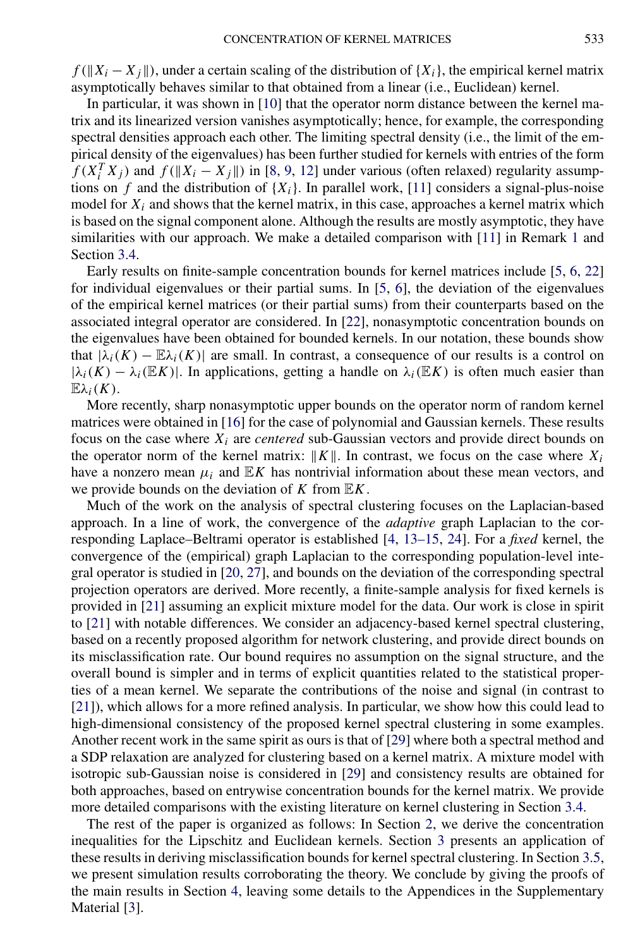$f(||X_i - X_j||)$ , under a certain scaling of the distribution of  ${X_i}$ , the empirical kernel matrix asymptotically behaves similar to that obtained from a linear (i.e., Euclidean) kernel.

In particular, it was shown in [\[10\]](#page-24-0) that the operator norm distance between the kernel matrix and its linearized version vanishes asymptotically; hence, for example, the corresponding spectral densities approach each other. The limiting spectral density (i.e., the limit of the empirical density of the eigenvalues) has been further studied for kernels with entries of the form  $f(X_i^T X_j)$  and  $f(||X_i - X_j||)$  in [\[8,](#page-24-0) [9,](#page-24-0) [12\]](#page-24-0) under various (often relaxed) regularity assumptions on  $f$  and the distribution of  $\{X_i\}$ . In parallel work, [\[11\]](#page-24-0) considers a signal-plus-noise model for  $X_i$  and shows that the kernel matrix, in this case, approaches a kernel matrix which is based on the signal component alone. Although the results are mostly asymptotic, they have similarities with our approach. We make a detailed comparison with [\[11\]](#page-24-0) in Remark [1](#page-4-0) and Section [3.4.](#page-14-0)

Early results on finite-sample concentration bounds for kernel matrices include [\[5,](#page-24-0) [6,](#page-24-0) [22\]](#page-24-0) for individual eigenvalues or their partial sums. In [\[5,](#page-24-0) [6\]](#page-24-0), the deviation of the eigenvalues of the empirical kernel matrices (or their partial sums) from their counterparts based on the associated integral operator are considered. In [\[22\]](#page-24-0), nonasymptotic concentration bounds on the eigenvalues have been obtained for bounded kernels. In our notation, these bounds show that  $|\lambda_i(K) - \mathbb{E}\lambda_i(K)|$  are small. In contrast, a consequence of our results is a control on  $|\lambda_i(K) - \lambda_i(\mathbb{E}K)|$ . In applications, getting a handle on  $\lambda_i(\mathbb{E}K)$  is often much easier than E*λi(K)*.

More recently, sharp nonasymptotic upper bounds on the operator norm of random kernel matrices were obtained in [\[16\]](#page-24-0) for the case of polynomial and Gaussian kernels. These results focus on the case where  $X_i$  are *centered* sub-Gaussian vectors and provide direct bounds on the operator norm of the kernel matrix:  $||K||$ . In contrast, we focus on the case where  $X_i$ have a nonzero mean  $\mu_i$  and  $\mathbb{E}K$  has nontrivial information about these mean vectors, and we provide bounds on the deviation of *K* from E*K*.

Much of the work on the analysis of spectral clustering focuses on the Laplacian-based approach. In a line of work, the convergence of the *adaptive* graph Laplacian to the corresponding Laplace–Beltrami operator is established [\[4,](#page-24-0) [13–15,](#page-24-0) [24\]](#page-24-0). For a *fixed* kernel, the convergence of the (empirical) graph Laplacian to the corresponding population-level integral operator is studied in [\[20,](#page-24-0) [27\]](#page-24-0), and bounds on the deviation of the corresponding spectral projection operators are derived. More recently, a finite-sample analysis for fixed kernels is provided in [\[21\]](#page-24-0) assuming an explicit mixture model for the data. Our work is close in spirit to [\[21\]](#page-24-0) with notable differences. We consider an adjacency-based kernel spectral clustering, based on a recently proposed algorithm for network clustering, and provide direct bounds on its misclassification rate. Our bound requires no assumption on the signal structure, and the overall bound is simpler and in terms of explicit quantities related to the statistical properties of a mean kernel. We separate the contributions of the noise and signal (in contrast to [\[21\]](#page-24-0)), which allows for a more refined analysis. In particular, we show how this could lead to high-dimensional consistency of the proposed kernel spectral clustering in some examples. Another recent work in the same spirit as ours is that of [\[29\]](#page-25-0) where both a spectral method and a SDP relaxation are analyzed for clustering based on a kernel matrix. A mixture model with isotropic sub-Gaussian noise is considered in [\[29\]](#page-25-0) and consistency results are obtained for both approaches, based on entrywise concentration bounds for the kernel matrix. We provide more detailed comparisons with the existing literature on kernel clustering in Section [3.4.](#page-14-0)

The rest of the paper is organized as follows: In Section [2,](#page-3-0) we derive the concentration inequalities for the Lipschitz and Euclidean kernels. Section [3](#page-7-0) presents an application of these results in deriving misclassification bounds for kernel spectral clustering. In Section [3.5,](#page-15-0) we present simulation results corroborating the theory. We conclude by giving the proofs of the main results in Section [4,](#page-16-0) leaving some details to the Appendices in the Supplementary Material [\[3\]](#page-23-0).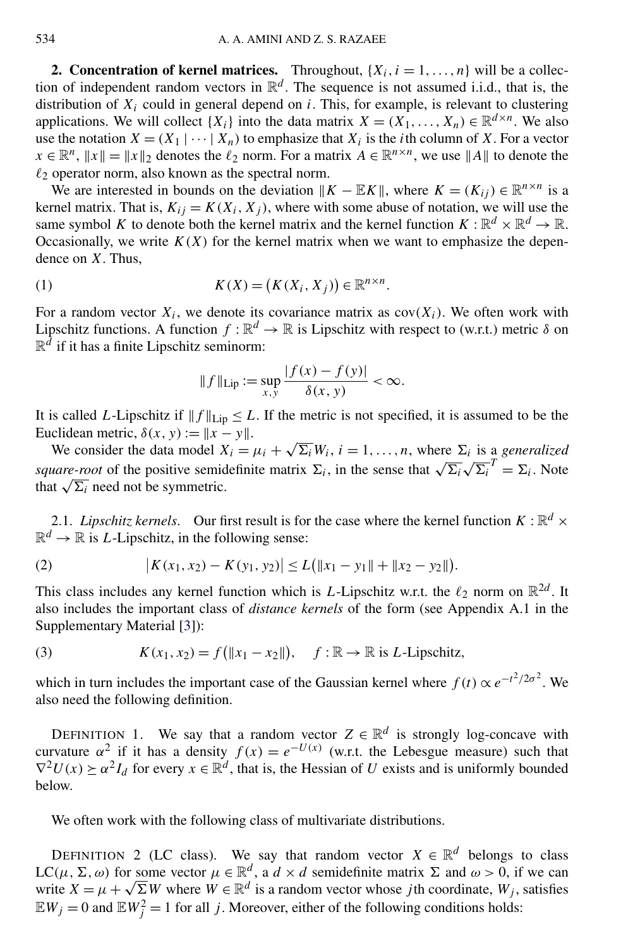<span id="page-3-0"></span>**2. Concentration of kernel matrices.** Throughout,  $\{X_i, i = 1, \ldots, n\}$  will be a collection of independent random vectors in  $\mathbb{R}^d$ . The sequence is not assumed i.i.d., that is, the distribution of  $X_i$  could in general depend on *i*. This, for example, is relevant to clustering applications. We will collect  $\{X_i\}$  into the data matrix  $X = (X_1, \ldots, X_n) \in \mathbb{R}^{d \times n}$ . We also use the notation  $X = (X_1 | \cdots | X_n)$  to emphasize that  $X_i$  is the *i*th column of X. For a vector  $x \in \mathbb{R}^n$ ,  $||x|| = ||x||_2$  denotes the  $\ell_2$  norm. For a matrix  $A \in \mathbb{R}^{n \times n}$ , we use  $||A||$  to denote the  $\ell_2$  operator norm, also known as the spectral norm.

We are interested in bounds on the deviation  $||K - \mathbb{E}K||$ , where  $K = (K_{ij}) \in \mathbb{R}^{n \times n}$  is a kernel matrix. That is,  $K_{ij} = K(X_i, X_j)$ , where with some abuse of notation, we will use the same symbol *K* to denote both the kernel matrix and the kernel function  $K : \mathbb{R}^d \times \mathbb{R}^d \to \mathbb{R}$ . Occasionally, we write  $K(X)$  for the kernel matrix when we want to emphasize the dependence on *X*. Thus,

(1) 
$$
K(X) = (K(X_i, X_j)) \in \mathbb{R}^{n \times n}.
$$

For a random vector  $X_i$ , we denote its covariance matrix as  $cov(X_i)$ . We often work with Lipschitz functions. A function  $f : \mathbb{R}^d \to \mathbb{R}$  is Lipschitz with respect to (w.r.t.) metric  $\delta$  on  $\mathbb{R}^d$  if it has a finite Lipschitz seminorm:

$$
||f||_{\text{Lip}} := \sup_{x,y} \frac{|f(x) - f(y)|}{\delta(x,y)} < \infty.
$$

It is called *L*-Lipschitz if  $|| f ||_{\text{Lip}} \leq L$ . If the metric is not specified, it is assumed to be the Euclidean metric,  $\delta(x, y) := ||x - y||$ .

We consider the data model  $X_i = \mu_i + \sqrt{\Sigma_i} W_i$ ,  $i = 1, ..., n$ , where  $\Sigma_i$  is a *generalized square-root* of the positive semidefinite matrix  $\Sigma_i$ , in the sense that  $\sqrt{\Sigma_i} \sqrt{\Sigma_i}^T = \Sigma_i$ . Note that  $\sqrt{\Sigma_i}$  need not be symmetric.

2.1. *Lipschitz kernels*. Our first result is for the case where the kernel function  $K : \mathbb{R}^d \times$  $\mathbb{R}^d \to \mathbb{R}$  is *L*-Lipschitz, in the following sense:

(2) 
$$
|K(x_1,x_2)-K(y_1,y_2)|\leq L(||x_1-y_1||+||x_2-y_2||).
$$

This class includes any kernel function which is *L*-Lipschitz w.r.t. the  $\ell_2$  norm on  $\mathbb{R}^{2d}$ . It also includes the important class of *distance kernels* of the form (see Appendix A.1 in the Supplementary Material [\[3\]](#page-23-0)):

(3) 
$$
K(x_1, x_2) = f(\|x_1 - x_2\|), \quad f: \mathbb{R} \to \mathbb{R} \text{ is } L\text{-Lipschitz},
$$

which in turn includes the important case of the Gaussian kernel where  $f(t) \propto e^{-t^2/2\sigma^2}$ . We also need the following definition.

DEFINITION 1. We say that a random vector  $Z \in \mathbb{R}^d$  is strongly log-concave with curvature  $\alpha^2$  if it has a density  $f(x) = e^{-U(x)}$  (w.r.t. the Lebesgue measure) such that  $\nabla^2 U(x) \succeq \alpha^2 I_d$  for every  $x \in \mathbb{R}^d$ , that is, the Hessian of *U* exists and is uniformly bounded below.

We often work with the following class of multivariate distributions.

DEFINITION 2 (LC class). We say that random vector  $X \in \mathbb{R}^d$  belongs to class LC(μ, Σ, ω) for some vector  $μ ∈ ℝ<sup>d</sup>$ , a  $d × d$  semidefinite matrix Σ and  $ω > 0$ , if we can write  $X = \mu + \sqrt{\Sigma}W$  where  $W \in \mathbb{R}^d$  is a random vector whose *j*th coordinate,  $W_i$ , satisfies  $\mathbb{E}W_j = 0$  and  $\mathbb{E}W_j^2 = 1$  for all *j*. Moreover, either of the following conditions holds: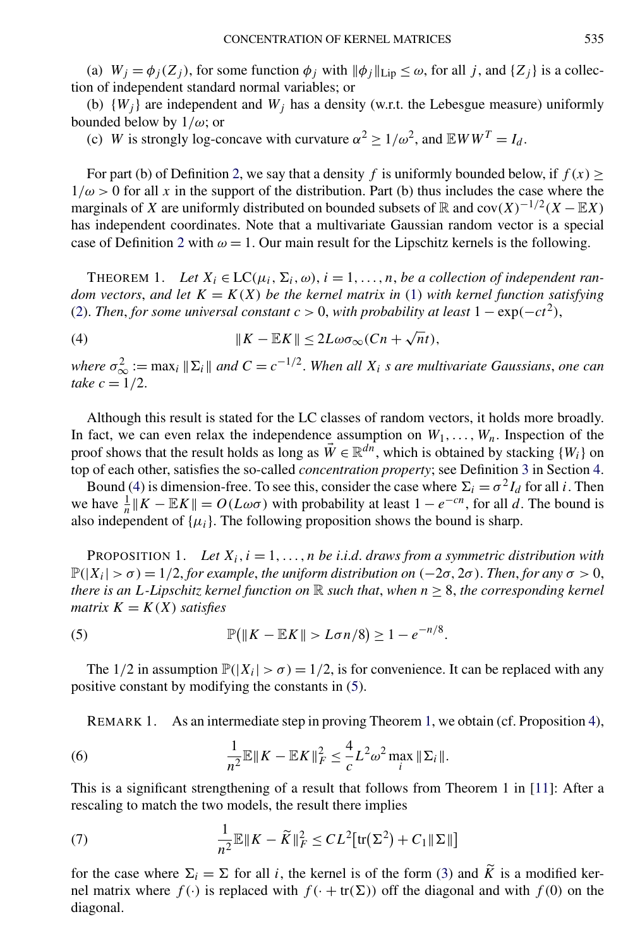<span id="page-4-0"></span>(a)  $W_j = \phi_j(Z_j)$ , for some function  $\phi_j$  with  $\|\phi_j\|_{\text{Lip}} \leq \omega$ , for all *j*, and  $\{Z_j\}$  is a collection of independent standard normal variables; or

(b)  $\{W_j\}$  are independent and  $W_j$  has a density (w.r.t. the Lebesgue measure) uniformly bounded below by 1*/ω*; or

(c) *W* is strongly log-concave with curvature  $\alpha^2 \ge 1/\omega^2$ , and  $\mathbb{E}WW^T = I_d$ .

For part (b) of Definition [2,](#page-3-0) we say that a density *f* is uniformly bounded below, if  $f(x) \ge$  $1/\omega > 0$  for all x in the support of the distribution. Part (b) thus includes the case where the marginals of *X* are uniformly distributed on bounded subsets of  $\mathbb R$  and  $cov(X)^{-1/2}(X - \mathbb EX)$ has independent coordinates. Note that a multivariate Gaussian random vector is a special case of Definition [2](#page-3-0) with  $\omega = 1$ . Our main result for the Lipschitz kernels is the following.

THEOREM 1. Let  $X_i \in LC(\mu_i, \Sigma_i, \omega)$ ,  $i = 1, \ldots, n$ , *be a collection of independent random vectors, and let*  $K = K(X)$  *be the kernel matrix in* [\(1\)](#page-3-0) *with kernel function satisfying* [\(2\)](#page-3-0). *Then*, *for some universal constant*  $c > 0$ , *with probability at least*  $1 - \exp(-ct^2)$ ,

(4)  $\|K - \mathbb{E}K\| \leq 2L\omega\sigma_{\infty}(Cn + \sqrt{n}t),$ 

*where*  $\sigma_{\infty}^2 := \max_i \| \Sigma_i \|$  and  $C = c^{-1/2}$ . When all  $X_i$  *s* are multivariate Gaussians, one can *take*  $c = 1/2$ .

Although this result is stated for the LC classes of random vectors, it holds more broadly. In fact, we can even relax the independence assumption on  $W_1, \ldots, W_n$ . Inspection of the proof shows that the result holds as long as  $\vec{W} \in \mathbb{R}^{dn}$ , which is obtained by stacking  $\{W_i\}$  on top of each other, satisfies the so-called *concentration property*; see Definition [3](#page-17-0) in Section [4.](#page-16-0)

Bound (4) is dimension-free. To see this, consider the case where  $\Sigma_i = \sigma^2 I_d$  for all *i*. Then we have  $\frac{1}{n} || K - \mathbb{E} K || = O(L\omega\sigma)$  with probability at least  $1 - e^{-cn}$ , for all *d*. The bound is also independent of  $\{\mu_i\}$ . The following proposition shows the bound is sharp.

PROPOSITION 1. Let  $X_i$ ,  $i = 1, \ldots, n$  be *i.i.d.* draws from a symmetric distribution with  $\mathbb{P}(|X_i| > \sigma) = 1/2$ , *for example, the uniform distribution on*  $(-2\sigma, 2\sigma)$ . *Then, for any*  $\sigma > 0$ , *there is an L*-Lipschitz kernel function on  $\mathbb R$  such that, when  $n \geq 8$ , the corresponding kernel *matrix*  $K = K(X)$  *satisfies* 

(5) 
$$
\mathbb{P}(\|K - \mathbb{E}K\| > L\sigma n/8) \ge 1 - e^{-n/8}.
$$

The  $1/2$  in assumption  $\mathbb{P}(|X_i| > \sigma) = 1/2$ , is for convenience. It can be replaced with any positive constant by modifying the constants in (5).

REMARK 1. As an intermediate step in proving Theorem 1, we obtain (cf. Proposition [4\)](#page-18-0),

(6) 
$$
\frac{1}{n^2} \mathbb{E} \| K - \mathbb{E} K \|_F^2 \leq \frac{4}{c} L^2 \omega^2 \max_i \| \Sigma_i \|.
$$

This is a significant strengthening of a result that follows from Theorem 1 in [\[11\]](#page-24-0): After a rescaling to match the two models, the result there implies

(7) 
$$
\frac{1}{n^2}\mathbb{E}\|K-\widetilde{K}\|_F^2 \leq CL^2[\text{tr}(\Sigma^2)+C_1\|\Sigma\|]
$$

for the case where  $\Sigma_i = \Sigma$  for all *i*, the kernel is of the form [\(3\)](#page-3-0) and  $\widetilde{K}$  is a modified kernel matrix where  $f(\cdot)$  is replaced with  $f(\cdot + tr(\Sigma))$  off the diagonal and with  $f(0)$  on the diagonal.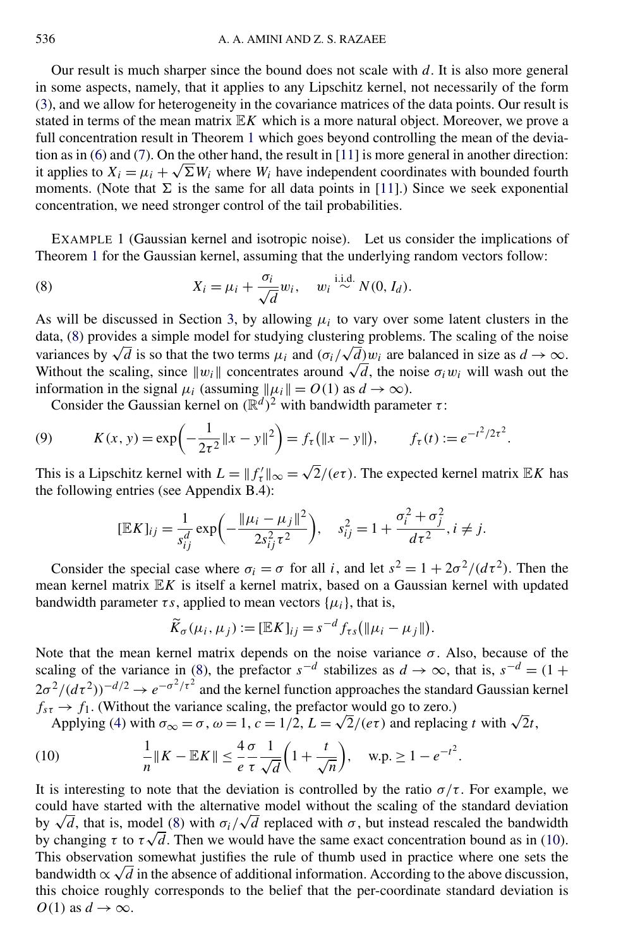<span id="page-5-0"></span>Our result is much sharper since the bound does not scale with *d*. It is also more general in some aspects, namely, that it applies to any Lipschitz kernel, not necessarily of the form [\(3\)](#page-3-0), and we allow for heterogeneity in the covariance matrices of the data points. Our result is stated in terms of the mean matrix E*K* which is a more natural object. Moreover, we prove a full concentration result in Theorem [1](#page-4-0) which goes beyond controlling the mean of the deviation as in [\(6\)](#page-4-0) and [\(7\)](#page-4-0). On the other hand, the result in [\[11\]](#page-24-0) is more general in another direction: it applies to  $X_i = \mu_i + \sqrt{\Sigma W_i}$  where  $W_i$  have independent coordinates with bounded fourth moments. (Note that  $\Sigma$  is the same for all data points in [\[11\]](#page-24-0).) Since we seek exponential concentration, we need stronger control of the tail probabilities.

EXAMPLE 1 (Gaussian kernel and isotropic noise). Let us consider the implications of Theorem [1](#page-4-0) for the Gaussian kernel, assuming that the underlying random vectors follow:

(8) 
$$
X_i = \mu_i + \frac{\sigma_i}{\sqrt{d}} w_i, \quad w_i \stackrel{\text{i.i.d.}}{\sim} N(0, I_d).
$$

As will be discussed in Section [3,](#page-7-0) by allowing  $\mu_i$  to vary over some latent clusters in the data, (8) provides a simple model for studying clustering problems. The scaling of the noise data, (δ) provides a simple model for studying clustering problems. The scaling of the noise variances by  $\sqrt{d}$  is so that the two terms  $\mu_i$  and  $(\sigma_i/\sqrt{d})w_i$  are balanced in size as *d* → ∞. Without the scaling, since  $||w_i||$  concentrates around  $\sqrt{d}$ , the noise  $\sigma_i w_i$  will wash out the information in the signal  $\mu_i$  (assuming  $\|\mu_i\| = O(1)$  as  $d \to \infty$ ).

Consider the Gaussian kernel on  $(\mathbb{R}^d)^2$  with bandwidth parameter *τ*:

(9) 
$$
K(x, y) = \exp\left(-\frac{1}{2\tau^2}||x - y||^2\right) = f_\tau(||x - y||), \qquad f_\tau(t) := e^{-t^2/2\tau^2}.
$$

This is a Lipschitz kernel with  $L = ||f'_{\tau}||_{\infty} = \sqrt{2}/(e\tau)$ . The expected kernel matrix  $\mathbb{E}K$  has the following entries (see Appendix B.4):

$$
[\mathbb{E}K]_{ij} = \frac{1}{s_{ij}^d} \exp\left(-\frac{\|\mu_i - \mu_j\|^2}{2s_{ij}^2 \tau^2}\right), \quad s_{ij}^2 = 1 + \frac{\sigma_i^2 + \sigma_j^2}{d\tau^2}, i \neq j.
$$

Consider the special case where  $\sigma_i = \sigma$  for all *i*, and let  $s^2 = 1 + 2\sigma^2/(d\tau^2)$ . Then the mean kernel matrix E*K* is itself a kernel matrix, based on a Gaussian kernel with updated bandwidth parameter  $\tau s$ , applied to mean vectors  $\{\mu_i\}$ , that is,

$$
\widetilde{K}_{\sigma}(\mu_i, \mu_j) := [\mathbb{E}K]_{ij} = s^{-d} f_{\tau s}(\|\mu_i - \mu_j\|).
$$

Note that the mean kernel matrix depends on the noise variance  $\sigma$ . Also, because of the scaling of the variance in (8), the prefactor  $s^{-d}$  stabilizes as  $d \to \infty$ , that is,  $s^{-d} = (1 +$  $2\sigma^2/(d\tau^2)^{-d/2} \to e^{-\sigma^2/\tau^2}$  and the kernel function approaches the standard Gaussian kernel  $f_{s\tau} \rightarrow f_1$ . (Without the variance scaling, the prefactor would go to zero.)

Applying [\(4\)](#page-4-0) with  $\sigma_{\infty} = \sigma$ ,  $\omega = 1$ ,  $c = 1/2$ ,  $L = \sqrt{2}/(e\tau)$  and replacing *t* with  $\sqrt{2}t$ ,

(10) 
$$
\frac{1}{n} \|K - \mathbb{E}K\| \leq \frac{4}{e} \frac{\sigma}{\tau} \frac{1}{\sqrt{d}} \left(1 + \frac{t}{\sqrt{n}}\right), \quad \text{w.p.} \geq 1 - e^{-t^2}.
$$

It is interesting to note that the deviation is controlled by the ratio  $\sigma/\tau$ . For example, we could have started with the alternative model without the scaling of the standard deviation could have started with the alternative model without the scaling of the standard deviation<br>by  $\sqrt{d}$ , that is, model (8) with  $\sigma_i/\sqrt{d}$  replaced with  $\sigma$ , but instead rescaled the bandwidth by  $\sqrt{a}$ , that is, model (8) with  $\sigma_i/\sqrt{a}$  replaced with  $\sigma$ , but instead rescaled the bandwidth by changing  $\tau$  to  $\tau\sqrt{d}$ . Then we would have the same exact concentration bound as in (10). This observation somewhat justifies the rule of thumb used in practice where one sets the bandwidth  $\propto \sqrt{d}$  in the absence of additional information. According to the above discussion, this choice roughly corresponds to the belief that the per-coordinate standard deviation is  $O(1)$  as  $d \rightarrow \infty$ .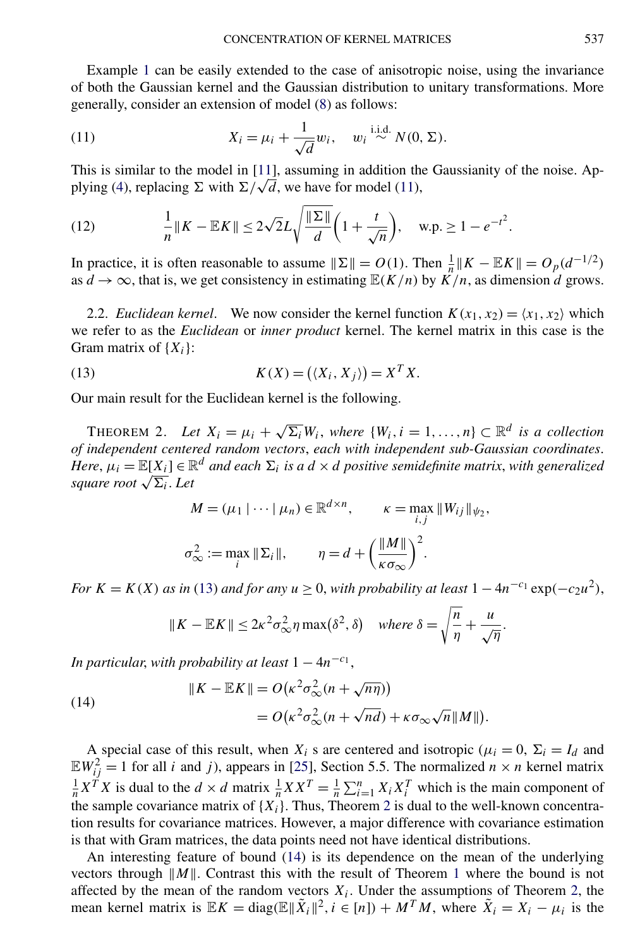<span id="page-6-0"></span>Example [1](#page-5-0) can be easily extended to the case of anisotropic noise, using the invariance of both the Gaussian kernel and the Gaussian distribution to unitary transformations. More generally, consider an extension of model [\(8\)](#page-5-0) as follows:

(11) 
$$
X_i = \mu_i + \frac{1}{\sqrt{d}} w_i, \quad w_i \stackrel{\text{i.i.d.}}{\sim} N(0, \Sigma).
$$

This is similar to the model in [\[11\]](#page-24-0), assuming in addition the Gaussianity of the noise. Ap-plying [\(4\)](#page-4-0), replacing  $\Sigma$  with  $\Sigma/\sqrt{d}$ , we have for model (11),

(12) 
$$
\frac{1}{n} \|K - \mathbb{E}K\| \le 2\sqrt{2}L\sqrt{\frac{\|\Sigma\|}{d}}\left(1 + \frac{t}{\sqrt{n}}\right), \quad \text{w.p.} \ge 1 - e^{-t^2}.
$$

In practice, it is often reasonable to assume  $\|\Sigma\| = O(1)$ . Then  $\frac{1}{n} \|K - \mathbb{E}K\| = O_p(d^{-1/2})$ as  $d \to \infty$ , that is, we get consistency in estimating  $\mathbb{E}(K/n)$  by  $\overline{K}/n$ , as dimension *d* grows.

2.2. *Euclidean kernel.* We now consider the kernel function  $K(x_1, x_2) = \langle x_1, x_2 \rangle$  which we refer to as the *Euclidean* or *inner product* kernel. The kernel matrix in this case is the Gram matrix of {*Xi*}:

(13) 
$$
K(X) = (\langle X_i, X_j \rangle) = X^T X.
$$

Our main result for the Euclidean kernel is the following.

THEOREM 2. Let  $X_i = \mu_i + \sqrt{\Sigma_i} W_i$ , where  $\{W_i, i = 1, ..., n\} \subset \mathbb{R}^d$  is a collection *of independent centered random vectors*, *each with independent sub-Gaussian coordinates*. *Here*,  $\mu_i = \mathbb{E}[X_i] \in \mathbb{R}^d$  *and each*  $\Sigma_i$  *is a d* × *d positive semidefinite matrix, with generalized square root*  $\sqrt{\Sigma_i}$ *. Let* 

$$
M = (\mu_1 \mid \cdots \mid \mu_n) \in \mathbb{R}^{d \times n}, \qquad \kappa = \max_{i,j} \|W_{ij}\|_{\psi_2},
$$
  

$$
\sigma_{\infty}^2 := \max_i \|\Sigma_i\|, \qquad \eta = d + \left(\frac{\|M\|}{\kappa \sigma_{\infty}}\right)^2.
$$

*For*  $K = K(X)$  *as in* (13) *and for any*  $u \geq 0$ , *with probability at least*  $1 - 4n^{-c_1} \exp(-c_2 u^2)$ ,

$$
\|K - \mathbb{E}K\| \le 2\kappa^2 \sigma_{\infty}^2 \eta \max(\delta^2, \delta) \quad \text{where } \delta = \sqrt{\frac{n}{\eta}} + \frac{u}{\sqrt{\eta}}
$$

*.*

*In particular, with probability at least*  $1 - 4n^{-c_1}$ ,

(14)  
\n
$$
||K - \mathbb{E}K|| = O(\kappa^2 \sigma_{\infty}^2 (n + \sqrt{n\eta}))
$$
\n
$$
= O(\kappa^2 \sigma_{\infty}^2 (n + \sqrt{n d}) + \kappa \sigma_{\infty} \sqrt{n} ||M||).
$$

A special case of this result, when  $X_i$  s are centered and isotropic ( $\mu_i = 0$ ,  $\Sigma_i = I_d$  and  $\mathbb{E}W_{ij}^2 = 1$  for all *i* and *j*), appears in [\[25\]](#page-24-0), Section 5.5. The normalized  $n \times n$  kernel matrix  $\frac{1}{n}X^T X$  is dual to the  $d \times d$  matrix  $\frac{1}{n}X X^T = \frac{1}{n} \sum_{i=1}^n X_i X_i^T$  which is the main component of the sample covariance matrix of  $\{X_i\}$ . Thus, Theorem 2 is dual to the well-known concentration results for covariance matrices. However, a major difference with covariance estimation is that with Gram matrices, the data points need not have identical distributions.

An interesting feature of bound (14) is its dependence on the mean of the underlying vectors through  $||M||$ . Contrast this with the result of Theorem [1](#page-4-0) where the bound is not affected by the mean of the random vectors  $X_i$ . Under the assumptions of Theorem 2, the mean kernel matrix is  $E K = \text{diag}(\mathbb{E} \|\tilde{X}_i\|^2, i \in [n]) + M^T M$ , where  $\tilde{X}_i = X_i - \mu_i$  is the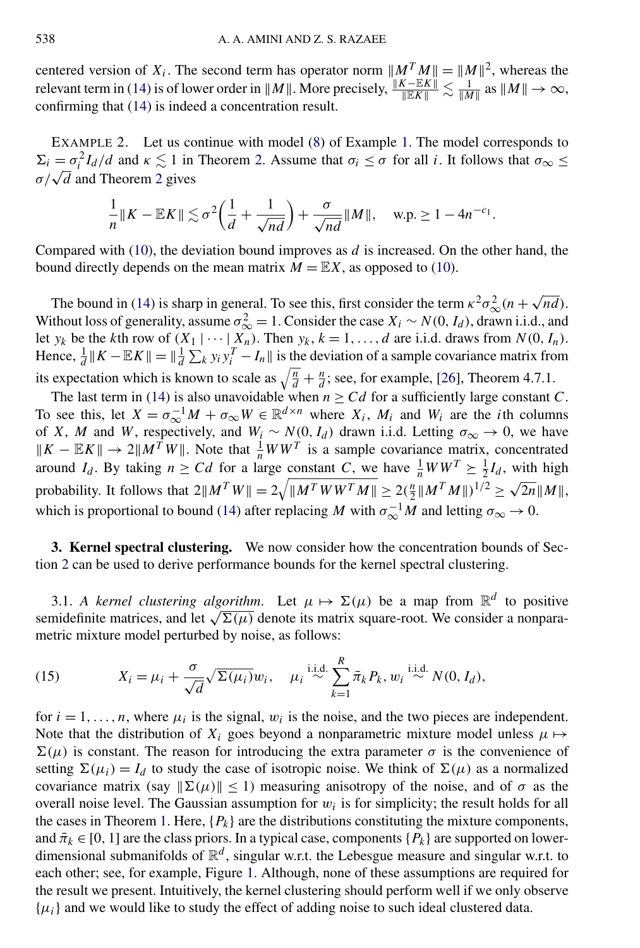<span id="page-7-0"></span>centered version of  $X_i$ . The second term has operator norm  $||M^T M|| = ||M||^2$ , whereas the relevant term in [\(14\)](#page-6-0) is of lower order in  $||M||$ . More precisely,  $\frac{||K - EK||}{||EK||} \lesssim \frac{1}{||M||}$  as  $||M|| \to \infty$ , confirming that [\(14\)](#page-6-0) is indeed a concentration result.

EXAMPLE 2. Let us continue with model [\(8\)](#page-5-0) of Example [1.](#page-5-0) The model corresponds to  $\Sigma_i = \sigma_i^2 I_d/d$  and  $\kappa \lesssim 1$  in Theorem [2.](#page-6-0) Assume that  $\sigma_i \leq \sigma$  for all *i*. It follows that  $\sigma_{\infty} \leq$ *σ/*√*<sup>d</sup>* and Theorem [2](#page-6-0) gives

$$
\frac{1}{n}||K - \mathbb{E}K|| \lesssim \sigma^2 \left(\frac{1}{d} + \frac{1}{\sqrt{nd}}\right) + \frac{\sigma}{\sqrt{nd}}||M||, \quad w.p. \ge 1 - 4n^{-c_1}.
$$

Compared with [\(10\)](#page-5-0), the deviation bound improves as *d* is increased. On the other hand, the bound directly depends on the mean matrix  $M = \mathbb{E}X$ , as opposed to [\(10\)](#page-5-0).

The bound in [\(14\)](#page-6-0) is sharp in general. To see this, first consider the term  $\kappa^2 \sigma_{\infty}^2 (n + \sqrt{nd})$ . Without loss of generality, assume  $\sigma_{\infty}^2 = 1$ . Consider the case  $X_i \sim N(0, I_d)$ , drawn i.i.d., and let *y<sub>k</sub>* be the *k*th row of  $(X_1 | \cdots | X_n)$ . Then  $y_k$ ,  $k = 1, \ldots, d$  are i.i.d. draws from  $N(0, I_n)$ . Hence,  $\frac{1}{d} || K - \mathbb{E} K || = \frac{1}{d} \sum_k y_i y_i^T - I_n ||$  is the deviation of a sample covariance matrix from its expectation which is known to scale as  $\sqrt{\frac{n}{d}} + \frac{n}{d}$ ; see, for example, [\[26\]](#page-24-0), Theorem 4.7.1.

The last term in [\(14\)](#page-6-0) is also unavoidable when  $n \geq Cd$  for a sufficiently large constant *C*. To see this, let  $X = \sigma_{\infty}^{-1}M + \sigma_{\infty}W \in \mathbb{R}^{d \times n}$  where  $X_i$ ,  $M_i$  and  $W_i$  are the *i*th columns of *X*, *M* and *W*, respectively, and  $W_i \sim N(0, I_d)$  drawn i.i.d. Letting  $\sigma_{\infty} \to 0$ , we have  $\|K - \mathbb{E}K\| \to 2\|M^TW\|$ . Note that  $\frac{1}{n}WW^T$  is a sample covariance matrix, concentrated around *I<sub>d</sub>*. By taking  $n \geq Cd$  for a large constant *C*, we have  $\frac{1}{n}WW^T \geq \frac{1}{2}I_d$ , with high probability. It follows that  $2||M^T W|| = 2\sqrt{||M^T W W^T M||} \ge 2(\frac{n}{2}||M^T M||)^{1/2} \ge \sqrt{2n}||M||$ , which is proportional to bound [\(14\)](#page-6-0) after replacing *M* with  $\sigma_{\infty}^{-1}M$  and letting  $\sigma_{\infty} \to 0$ .

**3. Kernel spectral clustering.** We now consider how the concentration bounds of Section [2](#page-3-0) can be used to derive performance bounds for the kernel spectral clustering.

3.1. *A kernel clustering algorithm*. Let  $\mu \mapsto \Sigma(\mu)$  be a map from  $\mathbb{R}^d$  to positive semidefinite matrices, and let  $\sqrt{\Sigma(\mu)}$  denote its matrix square-root. We consider a nonparametric mixture model perturbed by noise, as follows:

(15) 
$$
X_i = \mu_i + \frac{\sigma}{\sqrt{d}} \sqrt{\Sigma(\mu_i)} w_i, \quad \mu_i \stackrel{\text{i.i.d.}}{\sim} \sum_{k=1}^R \bar{\pi}_k P_k, w_i \stackrel{\text{i.i.d.}}{\sim} N(0, I_d),
$$

for  $i = 1, \ldots, n$ , where  $\mu_i$  is the signal,  $w_i$  is the noise, and the two pieces are independent. Note that the distribution of  $X_i$  goes beyond a nonparametric mixture model unless  $\mu \mapsto$  $\Sigma(\mu)$  is constant. The reason for introducing the extra parameter  $\sigma$  is the convenience of setting  $\Sigma(\mu_i) = I_d$  to study the case of isotropic noise. We think of  $\Sigma(\mu)$  as a normalized covariance matrix (say  $\|\Sigma(\mu)\| \leq 1$ ) measuring anisotropy of the noise, and of  $\sigma$  as the overall noise level. The Gaussian assumption for  $w_i$  is for simplicity; the result holds for all the cases in Theorem [1.](#page-4-0) Here,  ${P_k}$  are the distributions constituting the mixture components, and  $\bar{\pi}_k \in [0, 1]$  are the class priors. In a typical case, components  $\{P_k\}$  are supported on lowerdimensional submanifolds of  $\mathbb{R}^d$ , singular w.r.t. the Lebesgue measure and singular w.r.t. to each other; see, for example, Figure [1.](#page-8-0) Although, none of these assumptions are required for the result we present. Intuitively, the kernel clustering should perform well if we only observe  $\{\mu_i\}$  and we would like to study the effect of adding noise to such ideal clustered data.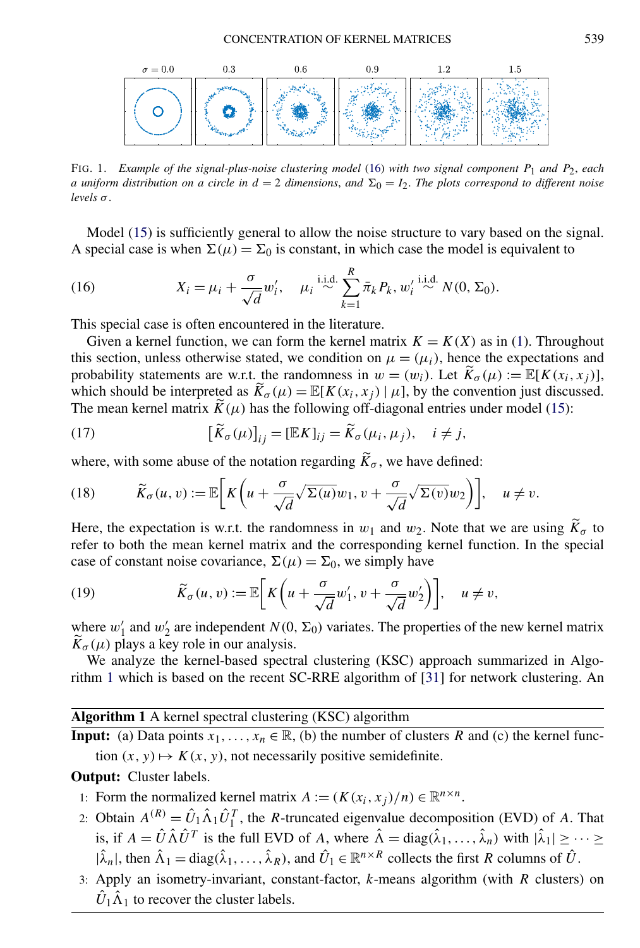<span id="page-8-0"></span>

FIG. 1. *Example of the signal-plus-noise clustering model* (16) *with two signal component P*1 *and P*2, *each a uniform distribution on a circle in*  $d = 2$  *dimensions, and*  $\Sigma_0 = I_2$ *. The plots correspond to different noise*  $levels \sigma$ .

Model  $(15)$  is sufficiently general to allow the noise structure to vary based on the signal. A special case is when  $\Sigma(\mu) = \Sigma_0$  is constant, in which case the model is equivalent to

(16) 
$$
X_i = \mu_i + \frac{\sigma}{\sqrt{d}} w'_i, \quad \mu_i \stackrel{\text{i.i.d.}}{\sim} \sum_{k=1}^R \bar{\pi}_k P_k, w'_i \stackrel{\text{i.i.d.}}{\sim} N(0, \Sigma_0).
$$

This special case is often encountered in the literature.

Given a kernel function, we can form the kernel matrix  $K = K(X)$  as in [\(1\)](#page-3-0). Throughout this section, unless otherwise stated, we condition on  $\mu = (\mu_i)$ , hence the expectations and probability statements are w.r.t. the randomness in  $w = (w_i)$ . Let  $K_\sigma(\mu) := \mathbb{E}[K(x_i, x_i)],$ which should be interpreted as  $\widetilde{K}_{\sigma}(\mu) = \mathbb{E}[K(x_i, x_j) | \mu]$ , by the convention just discussed. The mean kernel matrix  $\widetilde{K}(\mu)$  has the following off-diagonal entries under model [\(15\)](#page-7-0):

(17) 
$$
[\widetilde{K}_{\sigma}(\mu)]_{ij} = [\mathbb{E}K]_{ij} = \widetilde{K}_{\sigma}(\mu_i, \mu_j), \quad i \neq j,
$$

where, with some abuse of the notation regarding  $\widetilde{K}_{\sigma}$ , we have defined:

(18) 
$$
\widetilde{K}_{\sigma}(u,v) := \mathbb{E}\bigg[K\bigg(u + \frac{\sigma}{\sqrt{d}}\sqrt{\Sigma(u)}w_1, v + \frac{\sigma}{\sqrt{d}}\sqrt{\Sigma(v)}w_2\bigg)\bigg], \quad u \neq v.
$$

Here, the expectation is w.r.t. the randomness in  $w_1$  and  $w_2$ . Note that we are using  $\widetilde{K}_{\sigma}$  to refer to both the mean kernel matrix and the corresponding kernel function. In the special case of constant noise covariance,  $\Sigma(\mu) = \Sigma_0$ , we simply have

(19) 
$$
\widetilde{K}_{\sigma}(u,v) := \mathbb{E}\bigg[K\bigg(u + \frac{\sigma}{\sqrt{d}}w'_1,v + \frac{\sigma}{\sqrt{d}}w'_2\bigg)\bigg], \quad u \neq v,
$$

where  $w'_1$  and  $w'_2$  are independent  $N(0, \Sigma_0)$  variates. The properties of the new kernel matrix  $K_{\sigma}(\mu)$  plays a key role in our analysis.

We analyze the kernel-based spectral clustering (KSC) approach summarized in Algorithm 1 which is based on the recent SC-RRE algorithm of [\[31\]](#page-25-0) for network clustering. An

# **Algorithm 1** A kernel spectral clustering (KSC) algorithm

**Input:** (a) Data points  $x_1, \ldots, x_n \in \mathbb{R}$ , (b) the number of clusters *R* and (c) the kernel function  $(x, y) \mapsto K(x, y)$ , not necessarily positive semidefinite.

### **Output:** Cluster labels.

- 1: Form the normalized kernel matrix  $A := (K(x_i, x_j)/n) \in \mathbb{R}^{n \times n}$ .
- 2: Obtain  $A^{(R)} = \hat{U}_1 \hat{\Lambda}_1 \hat{U}_1^T$ , the *R*-truncated eigenvalue decomposition (EVD) of *A*. That is, if  $A = \hat{U} \hat{\Lambda} \hat{U}^T$  is the full EVD of *A*, where  $\hat{\Lambda} = \text{diag}(\hat{\lambda}_1, \dots, \hat{\lambda}_n)$  with  $|\hat{\lambda}_1| \geq \dots \geq$  $|\hat{\lambda}_n|$ , then  $\hat{\Lambda}_1 = \text{diag}(\hat{\lambda}_1, \dots, \hat{\lambda}_R)$ , and  $\hat{U}_1 \in \mathbb{R}^{n \times R}$  collects the first *R* columns of  $\hat{U}$ .
- 3: Apply an isometry-invariant, constant-factor, *k*-means algorithm (with *R* clusters) on  $\hat{U}_1 \hat{\Lambda}_1$  to recover the cluster labels.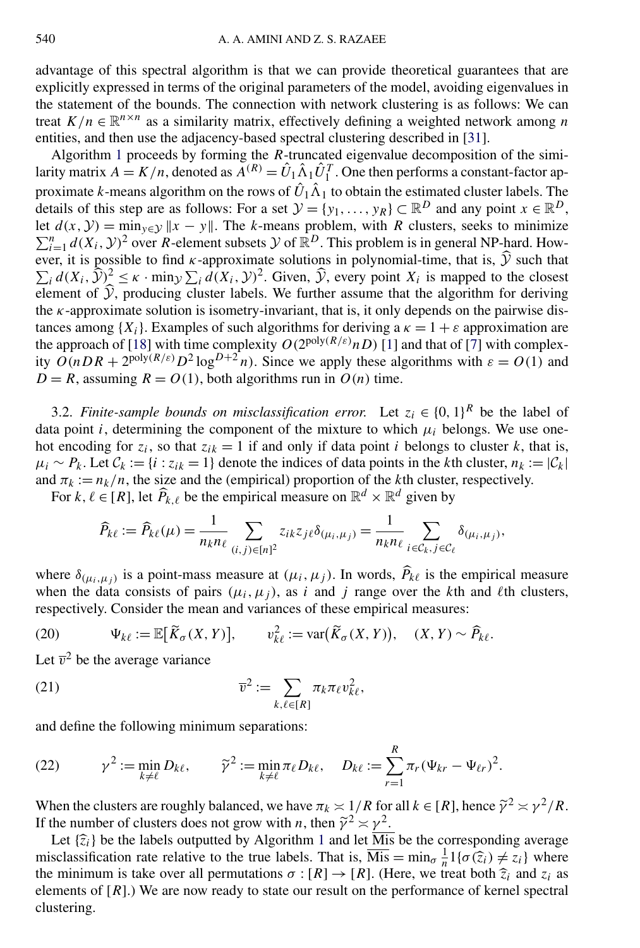<span id="page-9-0"></span>advantage of this spectral algorithm is that we can provide theoretical guarantees that are explicitly expressed in terms of the original parameters of the model, avoiding eigenvalues in the statement of the bounds. The connection with network clustering is as follows: We can treat  $K/n \in \mathbb{R}^{n \times n}$  as a similarity matrix, effectively defining a weighted network among *n* entities, and then use the adjacency-based spectral clustering described in [\[31\]](#page-25-0).

Algorithm [1](#page-8-0) proceeds by forming the *R*-truncated eigenvalue decomposition of the similarity matrix  $A = K/n$ , denoted as  $\overline{A}^{(R)} = \hat{U}_1 \hat{\Lambda}_1 \hat{U}_1^T$ . One then performs a constant-factor approximate *k*-means algorithm on the rows of  $\hat{U}_1 \hat{\Lambda}_1$  to obtain the estimated cluster labels. The details of this step are as follows: For a set  $\mathcal{Y} = \{y_1, \ldots, y_R\} \subset \mathbb{R}^D$  and any point  $x \in \mathbb{R}^D$ , let  $d(x, y) = \min_{y \in Y} ||x - y||$ . The *k*-means problem, with *R* clusters, seeks to minimize  $\sum_{i=1}^{n} d(X_i, Y)^2$  over *R*-element subsets Y of  $\mathbb{R}^D$ . This problem is in general NP-hard. However, it is possible to find  $\kappa$ -approximate solutions in polynomial-time, that is,  $\hat{y}$  such that  $\sum_i d(X_i, \hat{Y})^2 \le \kappa \cdot \min_{Y} \sum_i d(X_i, Y)^2$ . Given,  $\hat{Y}$ , every point  $X_i$  is mapped to the closest element of  $Y$ , producing cluster labels. We further assume that the algorithm for deriving the *κ*-approximate solution is isometry-invariant, that is, it only depends on the pairwise distances among  ${X_i}$ . Examples of such algorithms for deriving a  $\kappa = 1 + \varepsilon$  approximation are the approach of [\[18\]](#page-24-0) with time complexity  $O(2^{poly(R/\varepsilon)}nD)$  [\[1\]](#page-23-0) and that of [\[7\]](#page-24-0) with complexity  $O(nDR + 2^{\text{poly}(R/\varepsilon)}D^2\log^{D+2}n)$ . Since we apply these algorithms with  $\varepsilon = O(1)$  and  $D = R$ , assuming  $R = O(1)$ , both algorithms run in  $O(n)$  time.

3.2. *Finite-sample bounds on misclassification error.* Let  $z_i \in \{0, 1\}^R$  be the label of data point *i*, determining the component of the mixture to which  $\mu_i$  belongs. We use onehot encoding for  $z_i$ , so that  $z_{ik} = 1$  if and only if data point *i* belongs to cluster *k*, that is,  $\mu_i \sim P_k$ . Let  $C_k := \{i : z_{ik} = 1\}$  denote the indices of data points in the *k*th cluster,  $n_k := |C_k|$ and  $\pi_k := n_k/n$ , the size and the (empirical) proportion of the *k*th cluster, respectively.

For  $k, \ell \in [R]$ , let  $\widehat{P}_{k,\ell}$  be the empirical measure on  $\mathbb{R}^d \times \mathbb{R}^d$  given by

$$
\widehat{P}_{k\ell} := \widehat{P}_{k\ell}(\mu) = \frac{1}{n_k n_\ell} \sum_{(i,j) \in [n]^2} z_{ik} z_{j\ell} \delta_{(\mu_i,\mu_j)} = \frac{1}{n_k n_\ell} \sum_{i \in \mathcal{C}_k, j \in \mathcal{C}_\ell} \delta_{(\mu_i,\mu_j)},
$$

where  $\delta_{(\mu_i, \mu_j)}$  is a point-mass measure at  $(\mu_i, \mu_j)$ . In words,  $\hat{P}_{k\ell}$  is the empirical measure when the data consists of pairs  $(\mu_i, \mu_j)$ , as *i* and *j* range over the *k*th and *l*th clusters, respectively. Consider the mean and variances of these empirical measures:

(20) 
$$
\Psi_{k\ell} := \mathbb{E}[\widetilde{K}_{\sigma}(X,Y)], \qquad v_{k\ell}^2 := \text{var}(\widetilde{K}_{\sigma}(X,Y)), \quad (X,Y) \sim \widehat{P}_{k\ell}.
$$

Let  $\overline{v}^2$  be the average variance

(21) 
$$
\overline{v}^2 := \sum_{k,\ell \in [R]} \pi_k \pi_\ell v_{k\ell}^2,
$$

and define the following minimum separations:

(22) 
$$
\gamma^{2} := \min_{k \neq \ell} D_{k\ell}, \qquad \tilde{\gamma}^{2} := \min_{k \neq \ell} \pi_{\ell} D_{k\ell}, \quad D_{k\ell} := \sum_{r=1}^{R} \pi_{r} (\Psi_{kr} - \Psi_{\ell r})^{2}.
$$

When the clusters are roughly balanced, we have  $\pi_k \leq 1/R$  for all  $k \in [R]$ , hence  $\tilde{\gamma}^2 \approx \gamma^2/R$ . If the number of clusters does not grow with *n*, then  $\tilde{\gamma}^2 \approx \gamma^2$ .

Let  $\{\hat{z}_i\}$  be the labels outputted by Algorithm [1](#page-8-0) and let  $\overline{M}$  be the corresponding average misclassification rate relative to the true labels. That is,  $\overline{Mis} = \min_{\sigma} \frac{1}{n} 1\{\sigma(\hat{z}_i) \neq z_i\}$  where the minimum is take over all permutations  $\sigma : [R] \to [R]$ . (Here, we treat both  $\hat{z}_i$  and  $z_i$  as elements of [*R*].) We are now ready to state our result on the performance of kernel spectral clustering.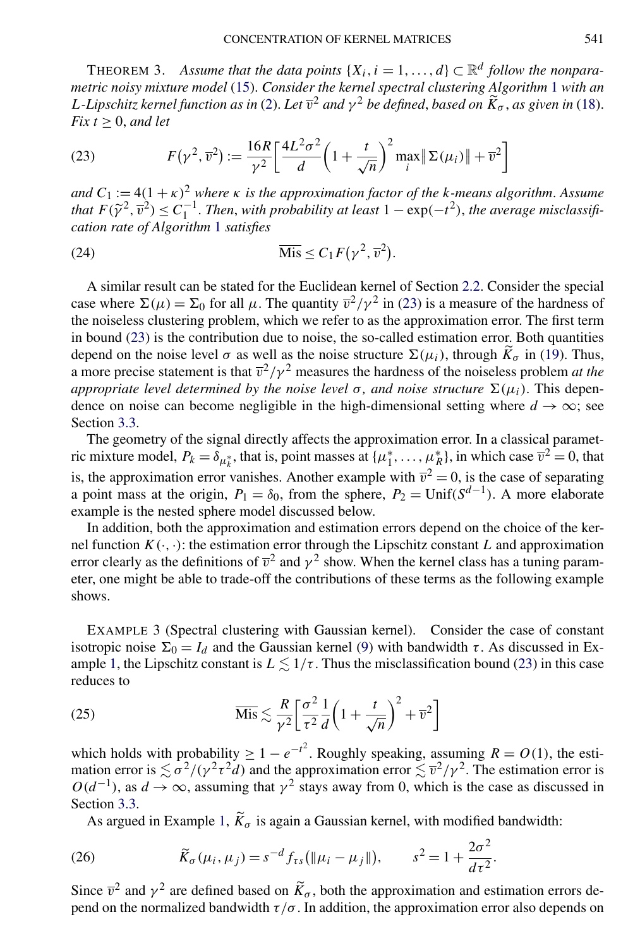<span id="page-10-0"></span>THEOREM 3. Assume that the data points  $\{X_i, i = 1, ..., d\} \subset \mathbb{R}^d$  follow the nonpara*metric noisy mixture model* [\(15\)](#page-7-0). *Consider the kernel spectral clustering Algorithm* [1](#page-8-0) *with an L-Lipschitz kernel function as in* [\(2\)](#page-3-0). *Let*  $\overline{v}^2$  *and*  $\gamma^2$  *be defined, based on*  $\widetilde{K}_{\sigma}$ *, as given in* [\(18\)](#page-8-0).  $Fix t > 0$ , *and let* 

(23) 
$$
F(\gamma^2, \overline{\nu}^2) := \frac{16R}{\gamma^2} \left[ \frac{4L^2 \sigma^2}{d} \left( 1 + \frac{t}{\sqrt{n}} \right)^2 \max_i \|\Sigma(\mu_i)\| + \overline{\nu}^2 \right]
$$

*and*  $C_1 := 4(1 + \kappa)^2$  *where*  $\kappa$  *is the approximation factor of the k-means algorithm. Assume that*  $F(\tilde{\gamma}^2, \overline{v}^2) \leq C_1^{-1}$ . *Then, with probability at least*  $1 - \exp(-t^2)$ , *the average misclassification rate of Algorithm* [1](#page-8-0) *satisfies*

(24) 
$$
\overline{\text{Mis}} \leq C_1 F(\gamma^2, \overline{v}^2).
$$

A similar result can be stated for the Euclidean kernel of Section [2.2.](#page-6-0) Consider the special case where  $\Sigma(\mu) = \Sigma_0$  for all  $\mu$ . The quantity  $\overline{v}^2/\gamma^2$  in (23) is a measure of the hardness of the noiseless clustering problem, which we refer to as the approximation error. The first term in bound (23) is the contribution due to noise, the so-called estimation error. Both quantities depend on the noise level  $\sigma$  as well as the noise structure  $\Sigma(\mu_i)$ , through  $\tilde{K}_{\sigma}$  in [\(19\)](#page-8-0). Thus, a more precise statement is that  $\overline{v}^2/\gamma^2$  measures the hardness of the noiseless problem *at the appropriate level determined by the noise level*  $\sigma$ , *and noise structure*  $\Sigma(\mu_i)$ . This dependence on noise can become negligible in the high-dimensional setting where  $d \rightarrow \infty$ ; see Section [3.3.](#page-12-0)

The geometry of the signal directly affects the approximation error. In a classical parametric mixture model,  $P_k = \delta_{\mu_k^*}$ , that is, point masses at  $\{\mu_1^*, \dots, \mu_R^*\}$ , in which case  $\overline{v}^2 = 0$ , that is, the approximation error vanishes. Another example with  $\overline{v}^2 = 0$ , is the case of separating a point mass at the origin,  $P_1 = \delta_0$ , from the sphere,  $P_2 = \text{Unif}(S^{d-1})$ . A more elaborate example is the nested sphere model discussed below.

In addition, both the approximation and estimation errors depend on the choice of the kernel function  $K(\cdot, \cdot)$ : the estimation error through the Lipschitz constant *L* and approximation error clearly as the definitions of  $\overline{v}^2$  and  $\gamma^2$  show. When the kernel class has a tuning parameter, one might be able to trade-off the contributions of these terms as the following example shows.

EXAMPLE 3 (Spectral clustering with Gaussian kernel). Consider the case of constant isotropic noise  $\Sigma_0 = I_d$  and the Gaussian kernel [\(9\)](#page-5-0) with bandwidth  $\tau$ . As discussed in Ex-ample [1,](#page-5-0) the Lipschitz constant is  $L \lesssim 1/\tau$ . Thus the misclassification bound (23) in this case reduces to

(25) 
$$
\overline{\text{Mis}} \lesssim \frac{R}{\gamma^2} \left[ \frac{\sigma^2}{\tau^2} \frac{1}{d} \left( 1 + \frac{t}{\sqrt{n}} \right)^2 + \overline{v}^2 \right]
$$

which holds with probability  $\geq 1 - e^{-t^2}$ . Roughly speaking, assuming  $R = O(1)$ , the estimation error is  $\le \frac{\sigma^2}{\gamma^2 d}$  and the approximation error  $\le \frac{\tau^2}{\gamma^2}$ . The estimation error is  $O(d^{-1})$ , as  $d \to \infty$ , assuming that  $\gamma^2$  stays away from 0, which is the case as discussed in Section [3.3.](#page-12-0)

As argued in Example [1,](#page-5-0)  $\widetilde{K}_{\sigma}$  is again a Gaussian kernel, with modified bandwidth:

(26) 
$$
\widetilde{K}_{\sigma}(\mu_{i}, \mu_{j}) = s^{-d} f_{\tau s}(\|\mu_{i} - \mu_{j}\|), \qquad s^{2} = 1 + \frac{2\sigma^{2}}{d\tau^{2}}.
$$

Since  $\bar{v}^2$  and  $\gamma^2$  are defined based on  $\tilde{K}_{\sigma}$ , both the approximation and estimation errors depend on the normalized bandwidth  $\tau/\sigma$ . In addition, the approximation error also depends on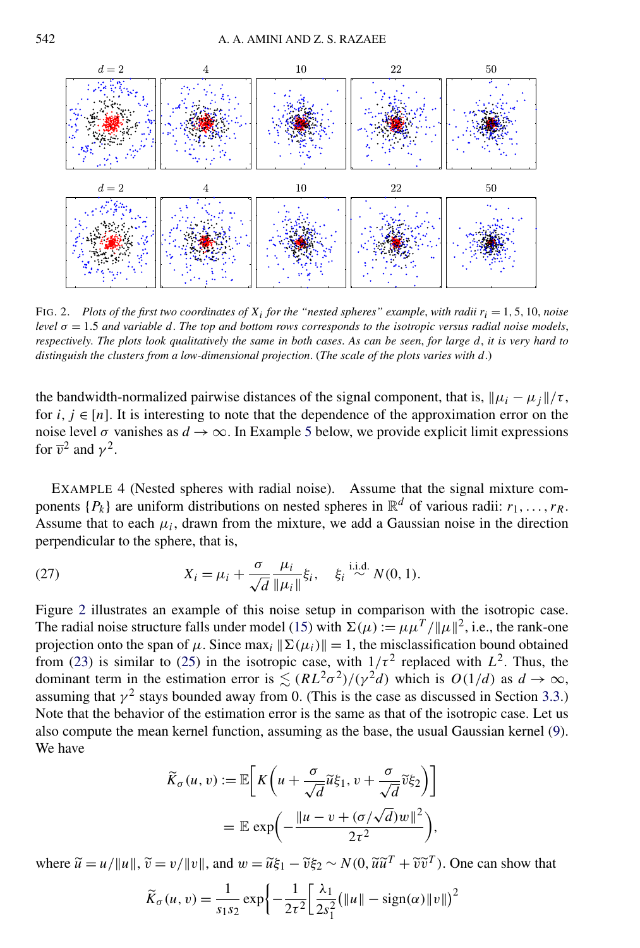<span id="page-11-0"></span>

FIG. 2. Plots of the first two coordinates of  $X_i$  for the "nested spheres" example, with radii  $r_i = 1, 5, 10$ , noise *level*  $\sigma = 1.5$  *and variable d. The top and bottom rows corresponds to the isotropic versus radial noise models, respectively*. *The plots look qualitatively the same in both cases*. *As can be seen*, *for large d*, *it is very hard to distinguish the clusters from a low-dimensional projection*. (*The scale of the plots varies with d*.)

the bandwidth-normalized pairwise distances of the signal component, that is,  $\|\mu_i - \mu_j\|/\tau$ , for  $i, j \in [n]$ . It is interesting to note that the dependence of the approximation error on the noise level  $\sigma$  vanishes as  $d \to \infty$ . In Example [5](#page-13-0) below, we provide explicit limit expressions for  $\overline{v}^2$  and  $\gamma^2$ .

EXAMPLE 4 (Nested spheres with radial noise). Assume that the signal mixture components  $\{P_k\}$  are uniform distributions on nested spheres in  $\mathbb{R}^d$  of various radii:  $r_1, \ldots, r_R$ . Assume that to each  $\mu_i$ , drawn from the mixture, we add a Gaussian noise in the direction perpendicular to the sphere, that is,

(27) 
$$
X_i = \mu_i + \frac{\sigma}{\sqrt{d}} \frac{\mu_i}{\|\mu_i\|} \xi_i, \quad \xi_i \stackrel{\text{i.i.d.}}{\sim} N(0, 1).
$$

Figure 2 illustrates an example of this noise setup in comparison with the isotropic case. The radial noise structure falls under model [\(15\)](#page-7-0) with  $\Sigma(\mu) := \mu \mu^{T} / ||\mu||^{2}$ , i.e., the rank-one projection onto the span of  $\mu$ . Since max<sub>i</sub>  $\|\Sigma(\mu_i)\| = 1$ , the misclassification bound obtained from [\(23\)](#page-10-0) is similar to [\(25\)](#page-10-0) in the isotropic case, with  $1/\tau^2$  replaced with  $L^2$ . Thus, the dominant term in the estimation error is  $\leq (RL^2\sigma^2)/(\gamma^2d)$  which is  $O(1/d)$  as  $d \to \infty$ , assuming that  $\gamma^2$  stays bounded away from 0. (This is the case as discussed in Section [3.3.](#page-12-0)) Note that the behavior of the estimation error is the same as that of the isotropic case. Let us also compute the mean kernel function, assuming as the base, the usual Gaussian kernel [\(9\)](#page-5-0). We have

$$
\widetilde{K}_{\sigma}(u, v) := \mathbb{E}\bigg[K\bigg(u + \frac{\sigma}{\sqrt{d}}\widetilde{u}\xi_1, v + \frac{\sigma}{\sqrt{d}}\widetilde{v}\xi_2\bigg)\bigg]
$$

$$
= \mathbb{E}\exp\bigg(-\frac{\|u - v + (\sigma/\sqrt{d})w\|^2}{2\tau^2}\bigg),
$$

where  $\tilde{u} = u/||u||$ ,  $\tilde{v} = v/||v||$ , and  $w = \tilde{u}\xi_1 - \tilde{v}\xi_2 \sim N(0, \tilde{u}\tilde{u}^T + \tilde{v}\tilde{v}^T)$ . One can show that

$$
\widetilde{K}_{\sigma}(u,v) = \frac{1}{s_1 s_2} \exp \left\{-\frac{1}{2\tau^2} \left[ \frac{\lambda_1}{2s_1^2} (\|u\| - \text{sign}(\alpha) \|v\|)^2 \right] \right\}
$$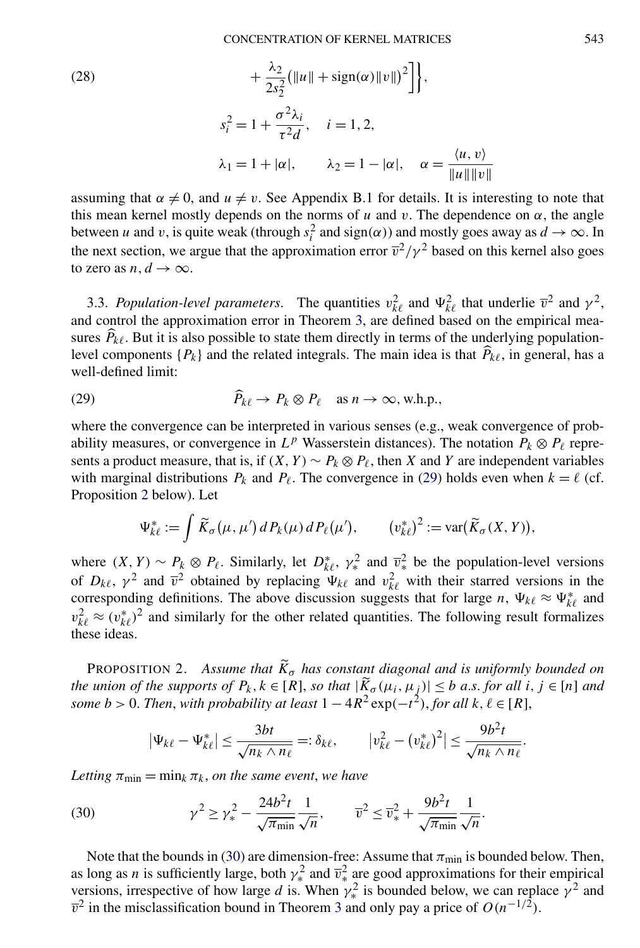<span id="page-12-0"></span>(28)  
\n
$$
+\frac{\lambda_2}{2s_2^2} (||u|| + sign(\alpha)||v||)^2],
$$
\n
$$
s_i^2 = 1 + \frac{\sigma^2 \lambda_i}{\tau^2 d}, \quad i = 1, 2,
$$
\n
$$
\lambda_1 = 1 + |\alpha|, \qquad \lambda_2 = 1 - |\alpha|, \quad \alpha = \frac{\langle u, v \rangle}{||u|| ||v||}
$$

assuming that  $\alpha \neq 0$ , and  $u \neq v$ . See Appendix B.1 for details. It is interesting to note that this mean kernel mostly depends on the norms of  $u$  and  $v$ . The dependence on  $\alpha$ , the angle between *u* and *v*, is quite weak (through  $s_i^2$  and sign( $\alpha$ )) and mostly goes away as  $d \to \infty$ . In the next section, we argue that the approximation error  $\overline{v}^2/\gamma^2$  based on this kernel also goes to zero as *n*,  $d \rightarrow \infty$ .

3.3. *Population-level parameters*. The quantities  $v_{k\ell}^2$  and  $\Psi_{k\ell}^2$  that underlie  $\bar{v}^2$  and  $\gamma^2$ , and control the approximation error in Theorem [3,](#page-10-0) are defined based on the empirical measures  $P_{k\ell}$ . But it is also possible to state them directly in terms of the underlying populationlevel components  $\{P_k\}$  and the related integrals. The main idea is that  $\widehat{P}_{k\ell}$ , in general, has a well-defined limit:

(29) 
$$
\widehat{P}_{k\ell} \to P_k \otimes P_\ell \quad \text{as } n \to \infty, \text{ w.h.p.,}
$$

where the convergence can be interpreted in various senses (e.g., weak convergence of probability measures, or convergence in  $L^p$  Wasserstein distances). The notation  $P_k \otimes P_\ell$  represents a product measure, that is, if  $(X, Y) \sim P_k \otimes P_\ell$ , then *X* and *Y* are independent variables with marginal distributions  $P_k$  and  $P_\ell$ . The convergence in (29) holds even when  $k = \ell$  (cf. Proposition 2 below). Let

$$
\Psi_{k\ell}^* := \int \widetilde{K}_{\sigma}(\mu, \mu') d P_k(\mu) d P_{\ell}(\mu'), \qquad (v_{k\ell}^*)^2 := \text{var}(\widetilde{K}_{\sigma}(X, Y)),
$$

where  $(X, Y) \sim P_k \otimes P_\ell$ . Similarly, let  $D_{k\ell}^*, \gamma_*^2$  and  $\overline{v}_*^2$  be the population-level versions of  $D_{k\ell}$ ,  $\gamma^2$  and  $\bar{v}^2$  obtained by replacing  $\Psi_{k\ell}$  and  $v_{k\ell}^2$  with their starred versions in the corresponding definitions. The above discussion suggests that for large *n*,  $\Psi_{k\ell} \approx \Psi_{k\ell}^*$  and  $v_{k\ell}^2 \approx (v_{k\ell}^*)^2$  and similarly for the other related quantities. The following result formalizes these ideas.

PROPOSITION 2. Assume that  $\widetilde{K}_{\sigma}$  has constant diagonal and is uniformly bounded on *the union of the supports of*  $P_k$ ,  $k \in [R]$ , so that  $|\widetilde{K}_{\sigma}(\mu_i, \mu_j)| \leq b$  *a.s. for all i*,  $j \in [n]$  *and some b* > 0. *Then, with probability at least*  $1 - 4R^2 \exp(-t^2)$ , *for all*  $k, \ell \in [R]$ ,

$$
|\Psi_{k\ell} - \Psi_{k\ell}^*| \leq \frac{3bt}{\sqrt{n_k \wedge n_\ell}} =: \delta_{k\ell}, \qquad |v_{k\ell}^2 - (v_{k\ell}^*)^2| \leq \frac{9b^2t}{\sqrt{n_k \wedge n_\ell}}.
$$

*Letting*  $\pi_{\min} = \min_k \pi_k$ , *on the same event*, *we have* 

(30) 
$$
\gamma^2 \ge \gamma_*^2 - \frac{24b^2t}{\sqrt{\pi_{\min}} \sqrt{n}}, \qquad \overline{v}^2 \le \overline{v}_*^2 + \frac{9b^2t}{\sqrt{\pi_{\min}} \sqrt{n}}.
$$

Note that the bounds in (30) are dimension-free: Assume that  $\pi_{\min}$  is bounded below. Then, as long as *n* is sufficiently large, both  $\gamma_*^2$  and  $\overline{\nu}_*^2$  are good approximations for their empirical versions, irrespective of how large *d* is. When  $\gamma_*^2$  is bounded below, we can replace  $\gamma^2$  and  $\overline{v}^2$  in the misclassification bound in Theorem [3](#page-10-0) and only pay a price of  $O(n^{-1/2})$ .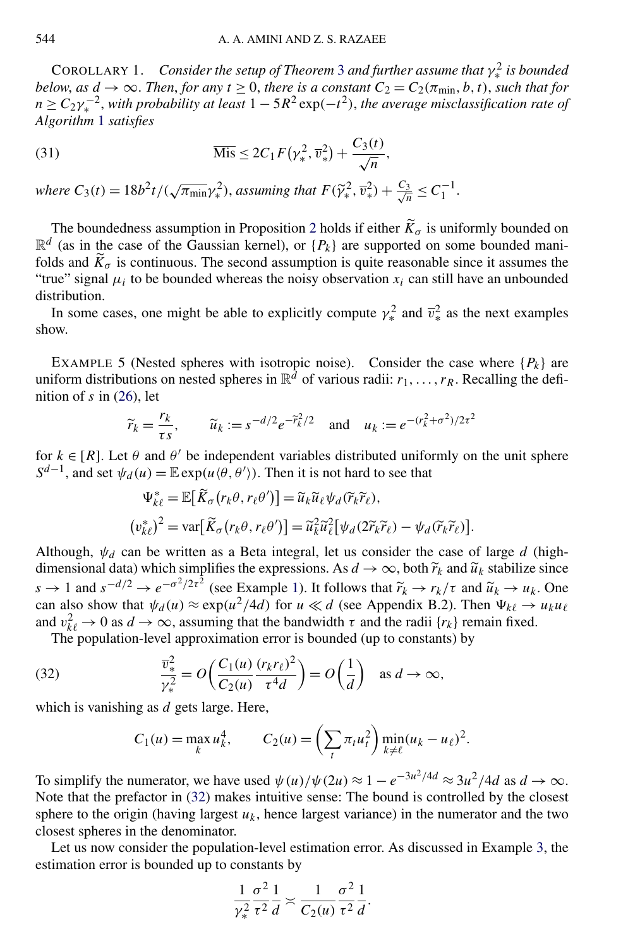<span id="page-13-0"></span>COROLLARY 1. Consider the setup of Theorem [3](#page-10-0) and further assume that  $\gamma_*^2$  is bounded *below, as*  $d \rightarrow \infty$ . *Then, for any*  $t \geq 0$ *, there is a constant*  $C_2 = C_2(\pi_{\min}, b, t)$ *, such that for*  $n \geq C_2 \gamma_*^{-2}$ , with probability at least  $1 - 5R^2 \exp(-t^2)$ , the average misclassification rate of *Algorithm* [1](#page-8-0) *satisfies*

(31) 
$$
\overline{\text{ Mis}} \leq 2C_1 F(\gamma_*^2, \overline{v}_*^2) + \frac{C_3(t)}{\sqrt{n}},
$$

*where*  $C_3(t) = \frac{18b^2t}{(\sqrt{\pi_{\min}}\gamma_*^2)}$ , *assuming that*  $F(\widetilde{\gamma}_*^2, \overline{v}_*^2) + \frac{C_3}{\sqrt{n}} \le C_1^{-1}$ .

The boundedness assumption in Proposition [2](#page-12-0) holds if either  $\widetilde{K}_{\sigma}$  is uniformly bounded on  $\mathbb{R}^d$  (as in the case of the Gaussian kernel), or  $\{P_k\}$  are supported on some bounded manifolds and  $\widetilde{K}_{\sigma}$  is continuous. The second assumption is quite reasonable since it assumes the "true" signal  $\mu_i$  to be bounded whereas the noisy observation  $x_i$  can still have an unbounded distribution.

In some cases, one might be able to explicitly compute  $\gamma_*^2$  and  $\overline{v}_*^2$  as the next examples show.

EXAMPLE 5 (Nested spheres with isotropic noise). Consider the case where  $\{P_k\}$  are uniform distributions on nested spheres in  $\mathbb{R}^{\bar{d}}$  of various radii:  $r_1, \ldots, r_R$ . Recalling the definition of *s* in [\(26\)](#page-10-0), let

$$
\widetilde{r}_k = \frac{r_k}{\tau s}, \qquad \widetilde{u}_k := s^{-d/2} e^{-\widetilde{r}_k^2/2}
$$
 and  $u_k := e^{-(r_k^2 + \sigma^2)/2\tau^2}$ 

for  $k \in [R]$ . Let  $\theta$  and  $\theta'$  be independent variables distributed uniformly on the unit sphere  $S^{d-1}$ , and set  $\psi_d(u) = \mathbb{E} \exp(u \langle \theta, \theta' \rangle)$ . Then it is not hard to see that

$$
\Psi_{k\ell}^* = \mathbb{E}[\widetilde{K}_{\sigma}(r_k\theta, r_{\ell}\theta')] = \widetilde{u}_k \widetilde{u}_{\ell} \psi_d(\widetilde{r}_k \widetilde{r}_{\ell}),
$$
  

$$
(v_{k\ell}^*)^2 = \text{var}[\widetilde{K}_{\sigma}(r_k\theta, r_{\ell}\theta')] = \widetilde{u}_k^2 \widetilde{u}_{\ell}^2[\psi_d(2\widetilde{r}_k \widetilde{r}_{\ell}) - \psi_d(\widetilde{r}_k \widetilde{r}_{\ell})].
$$

Although,  $\psi_d$  can be written as a Beta integral, let us consider the case of large *d* (highdimensional data) which simplifies the expressions. As  $d \to \infty$ , both  $\tilde{r}_k$  and  $\tilde{u}_k$  stabilize since  $s \to 1$  and  $s^{-d/2} \to e^{-\sigma^2/2\tau^2}$  (see Example [1\)](#page-5-0). It follows that  $\tilde{r}_k \to r_k/\tau$  and  $\tilde{u}_k \to u_k$ . One can also show that  $\psi_d(u) \approx \exp(u^2/4d)$  for  $u \ll d$  (see Appendix B.2). Then  $\Psi_{k\ell} \to u_k u_\ell$ and  $v_{k\ell}^2 \to 0$  as  $d \to \infty$ , assuming that the bandwidth  $\tau$  and the radii  $\{r_k\}$  remain fixed.

The population-level approximation error is bounded (up to constants) by

(32) 
$$
\frac{\overline{v}_*^2}{\gamma_*^2} = O\left(\frac{C_1(u)}{C_2(u)} \frac{(r_k r_\ell)^2}{\tau^4 d}\right) = O\left(\frac{1}{d}\right) \text{ as } d \to \infty,
$$

which is vanishing as *d* gets large. Here,

$$
C_1(u) = \max_k u_k^4
$$
,  $C_2(u) = \left(\sum_t \pi_t u_t^2\right) \min_{k \neq \ell} (u_k - u_\ell)^2$ .

To simplify the numerator, we have used  $\psi(u)/\psi(2u) \approx 1 - e^{-3u^2/4d} \approx 3u^2/4d$  as  $d \to \infty$ . Note that the prefactor in (32) makes intuitive sense: The bound is controlled by the closest sphere to the origin (having largest  $u_k$ , hence largest variance) in the numerator and the two closest spheres in the denominator.

Let us now consider the population-level estimation error. As discussed in Example [3,](#page-10-0) the estimation error is bounded up to constants by

$$
\frac{1}{\gamma_*^2} \frac{\sigma^2}{\tau^2} \frac{1}{d} \asymp \frac{1}{C_2(u)} \frac{\sigma^2}{\tau^2} \frac{1}{d}.
$$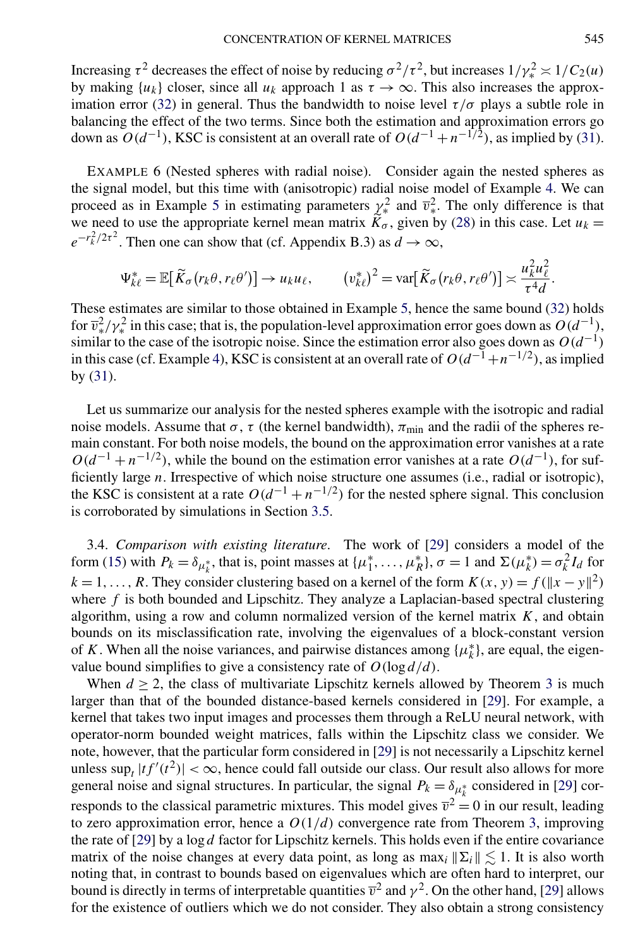<span id="page-14-0"></span>Increasing  $\tau^2$  decreases the effect of noise by reducing  $\sigma^2/\tau^2$ , but increases  $1/\gamma_*^2 \approx 1/C_2(u)$ by making  $\{u_k\}$  closer, since all  $u_k$  approach 1 as  $\tau \to \infty$ . This also increases the approx-imation error [\(32\)](#page-13-0) in general. Thus the bandwidth to noise level  $\tau/\sigma$  plays a subtle role in balancing the effect of the two terms. Since both the estimation and approximation errors go down as  $O(d^{-1})$ , KSC is consistent at an overall rate of  $O(d^{-1} + n^{-1/2})$ , as implied by [\(31\)](#page-13-0).

EXAMPLE 6 (Nested spheres with radial noise). Consider again the nested spheres as the signal model, but this time with (anisotropic) radial noise model of Example [4.](#page-11-0) We can proceed as in Example [5](#page-13-0) in estimating parameters  $\chi^2$  and  $\bar{v}^2$ . The only difference is that we need to use the appropriate kernel mean matrix  $K_{\sigma}$ , given by [\(28\)](#page-12-0) in this case. Let  $u_k =$  $e^{-r_k^2/2\tau^2}$ . Then one can show that (cf. Appendix B.3) as  $d \to \infty$ ,

$$
\Psi_{k\ell}^* = \mathbb{E}[\widetilde{K}_{\sigma}(r_k\theta, r_{\ell}\theta')] \to u_k u_{\ell}, \qquad (v_{k\ell}^*)^2 = \text{var}[\widetilde{K}_{\sigma}(r_k\theta, r_{\ell}\theta')] \asymp \frac{u_k^2 u_{\ell}^2}{\tau^4 d}.
$$

These estimates are similar to those obtained in Example [5,](#page-13-0) hence the same bound [\(32\)](#page-13-0) holds for  $\overline{v}_*^2/\gamma_*^2$  in this case; that is, the population-level approximation error goes down as  $O(d^{-1})$ , similar to the case of the isotropic noise. Since the estimation error also goes down as  $O(d^{-1})$ in this case (cf. Example [4\)](#page-11-0), KSC is consistent at an overall rate of  $O(d^{-1}+n^{-1/2})$ , as implied by [\(31\)](#page-13-0).

Let us summarize our analysis for the nested spheres example with the isotropic and radial noise models. Assume that  $\sigma$ ,  $\tau$  (the kernel bandwidth),  $\pi_{\text{min}}$  and the radii of the spheres remain constant. For both noise models, the bound on the approximation error vanishes at a rate  $O(d^{-1} + n^{-1/2})$ , while the bound on the estimation error vanishes at a rate  $O(d^{-1})$ , for sufficiently large *n*. Irrespective of which noise structure one assumes (i.e., radial or isotropic), the KSC is consistent at a rate  $O(d^{-1} + n^{-1/2})$  for the nested sphere signal. This conclusion is corroborated by simulations in Section [3.5.](#page-15-0)

3.4. *Comparison with existing literature*. The work of [\[29\]](#page-25-0) considers a model of the form [\(15\)](#page-7-0) with  $P_k = \delta_{\mu_k^*}$ , that is, point masses at  $\{\mu_1^*, \dots, \mu_R^*\}, \sigma = 1$  and  $\Sigma(\mu_k^*) = \sigma_k^2 I_d$  for  $k = 1, \ldots, R$ . They consider clustering based on a kernel of the form  $K(x, y) = f(||x - y||^2)$ where *f* is both bounded and Lipschitz. They analyze a Laplacian-based spectral clustering algorithm, using a row and column normalized version of the kernel matrix *K*, and obtain bounds on its misclassification rate, involving the eigenvalues of a block-constant version of *K*. When all the noise variances, and pairwise distances among  $\{\mu_k^*\}$ , are equal, the eigenvalue bound simplifies to give a consistency rate of  $O(\log d/d)$ .

When  $d \geq 2$ , the class of multivariate Lipschitz kernels allowed by Theorem [3](#page-10-0) is much larger than that of the bounded distance-based kernels considered in [\[29\]](#page-25-0). For example, a kernel that takes two input images and processes them through a ReLU neural network, with operator-norm bounded weight matrices, falls within the Lipschitz class we consider. We note, however, that the particular form considered in [\[29\]](#page-25-0) is not necessarily a Lipschitz kernel unless  $\sup_t |tf'(t^2)| < \infty$ , hence could fall outside our class. Our result also allows for more general noise and signal structures. In particular, the signal  $P_k = \delta_{\mu_k^*}$  considered in [\[29\]](#page-25-0) corresponds to the classical parametric mixtures. This model gives  $\overline{v}^2 = 0$  in our result, leading to zero approximation error, hence a  $O(1/d)$  convergence rate from Theorem [3,](#page-10-0) improving the rate of [\[29\]](#page-25-0) by a log *d* factor for Lipschitz kernels. This holds even if the entire covariance matrix of the noise changes at every data point, as long as  $\max_i \| \Sigma_i \| \lesssim 1$ . It is also worth noting that, in contrast to bounds based on eigenvalues which are often hard to interpret, our bound is directly in terms of interpretable quantities  $\overline{v}^2$  and  $\gamma^2$ . On the other hand, [\[29\]](#page-25-0) allows for the existence of outliers which we do not consider. They also obtain a strong consistency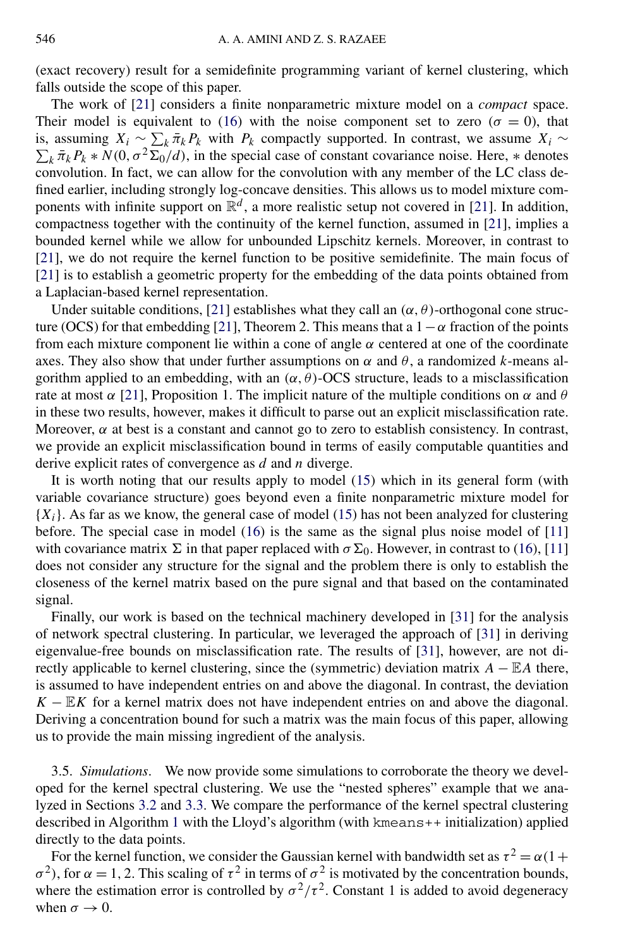<span id="page-15-0"></span>(exact recovery) result for a semidefinite programming variant of kernel clustering, which falls outside the scope of this paper.

The work of [\[21\]](#page-24-0) considers a finite nonparametric mixture model on a *compact* space. Their model is equivalent to [\(16\)](#page-8-0) with the noise component set to zero ( $\sigma = 0$ ), that is, assuming  $X_i \sim \sum_k \bar{\pi}_k P_k$  with  $P_k$  compactly supported. In contrast, we assume  $X_i \sim \sum_k \bar{\pi}_k P_k * N(0, \sigma^2 \Sigma_0 / d)$ , in the special case of constant covariance noise. Here,  $*$  denotes  $\sum_{k} \bar{\pi}_{k} P_{k} * N(0, \sigma^{2} \bar{\Sigma}_{0}/d)$ , in the special case of constant covariance noise. Here,  $*$  denotes convolution. In fact, we can allow for the convolution with any member of the LC class defined earlier, including strongly log-concave densities. This allows us to model mixture components with infinite support on  $\mathbb{R}^d$ , a more realistic setup not covered in [\[21\]](#page-24-0). In addition, compactness together with the continuity of the kernel function, assumed in [\[21\]](#page-24-0), implies a bounded kernel while we allow for unbounded Lipschitz kernels. Moreover, in contrast to [\[21\]](#page-24-0), we do not require the kernel function to be positive semidefinite. The main focus of [\[21\]](#page-24-0) is to establish a geometric property for the embedding of the data points obtained from a Laplacian-based kernel representation.

Under suitable conditions, [\[21\]](#page-24-0) establishes what they call an  $(\alpha, \theta)$ -orthogonal cone struc-ture (OCS) for that embedding [\[21\]](#page-24-0), Theorem 2. This means that a  $1-\alpha$  fraction of the points from each mixture component lie within a cone of angle *α* centered at one of the coordinate axes. They also show that under further assumptions on  $\alpha$  and  $\theta$ , a randomized *k*-means algorithm applied to an embedding, with an  $(\alpha, \theta)$ -OCS structure, leads to a misclassification rate at most *α* [\[21\]](#page-24-0), Proposition 1. The implicit nature of the multiple conditions on *α* and *θ* in these two results, however, makes it difficult to parse out an explicit misclassification rate. Moreover,  $\alpha$  at best is a constant and cannot go to zero to establish consistency. In contrast, we provide an explicit misclassification bound in terms of easily computable quantities and derive explicit rates of convergence as *d* and *n* diverge.

It is worth noting that our results apply to model [\(15\)](#page-7-0) which in its general form (with variable covariance structure) goes beyond even a finite nonparametric mixture model for  ${X<sub>i</sub>}$ . As far as we know, the general case of model [\(15\)](#page-7-0) has not been analyzed for clustering before. The special case in model [\(16\)](#page-8-0) is the same as the signal plus noise model of [\[11\]](#page-24-0) with covariance matrix  $\Sigma$  in that paper replaced with  $\sigma \Sigma_0$ . However, in contrast to [\(16\)](#page-8-0), [\[11\]](#page-24-0) does not consider any structure for the signal and the problem there is only to establish the closeness of the kernel matrix based on the pure signal and that based on the contaminated signal.

Finally, our work is based on the technical machinery developed in [\[31\]](#page-25-0) for the analysis of network spectral clustering. In particular, we leveraged the approach of [\[31\]](#page-25-0) in deriving eigenvalue-free bounds on misclassification rate. The results of [\[31\]](#page-25-0), however, are not directly applicable to kernel clustering, since the (symmetric) deviation matrix  $A - \mathbb{E}A$  there, is assumed to have independent entries on and above the diagonal. In contrast, the deviation  $K - \mathbb{E}K$  for a kernel matrix does not have independent entries on and above the diagonal. Deriving a concentration bound for such a matrix was the main focus of this paper, allowing us to provide the main missing ingredient of the analysis.

3.5. *Simulations*. We now provide some simulations to corroborate the theory we developed for the kernel spectral clustering. We use the "nested spheres" example that we analyzed in Sections [3.2](#page-9-0) and [3.3.](#page-12-0) We compare the performance of the kernel spectral clustering described in Algorithm [1](#page-8-0) with the Lloyd's algorithm (with kmeans++ initialization) applied directly to the data points.

For the kernel function, we consider the Gaussian kernel with bandwidth set as  $\tau^2 = \alpha(1 +$ *σ*<sup>2</sup>), for *α* = 1, 2. This scaling of  $τ$ <sup>2</sup> in terms of  $σ$ <sup>2</sup> is motivated by the concentration bounds, where the estimation error is controlled by  $\sigma^2/\tau^2$ . Constant 1 is added to avoid degeneracy when  $\sigma \rightarrow 0$ .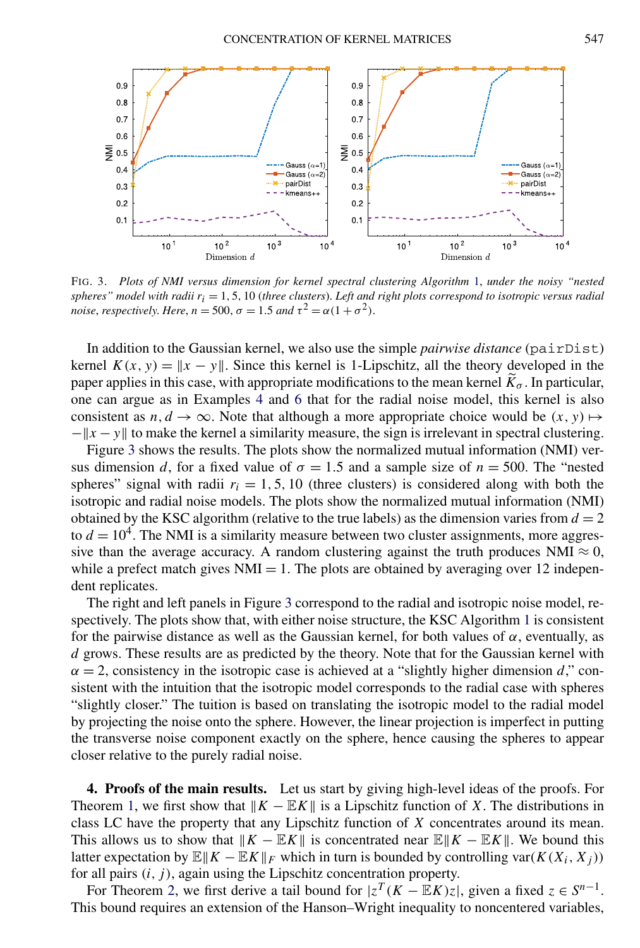<span id="page-16-0"></span>

FIG. 3. *Plots of NMI versus dimension for kernel spectral clustering Algorithm* [1,](#page-8-0) *under the noisy "nested spheres" model with radii ri* = 1*,* 5*,* 10 (*three clusters*). *Left and right plots correspond to isotropic versus radial noise, respectively. Here, n* = 500,  $\sigma$  = 1.5 *and*  $\tau^2 = \alpha(1 + \sigma^2)$ .

In addition to the Gaussian kernel, we also use the simple *pairwise distance* (pairDist) kernel  $K(x, y) = ||x - y||$ . Since this kernel is 1-Lipschitz, all the theory developed in the paper applies in this case, with appropriate modifications to the mean kernel  $\tilde{K}_{\sigma}$ . In particular, one can argue as in Examples [4](#page-11-0) and [6](#page-14-0) that for the radial noise model, this kernel is also consistent as  $n, d \to \infty$ . Note that although a more appropriate choice would be  $(x, y) \mapsto$  $-$ ||x − y|| to make the kernel a similarity measure, the sign is irrelevant in spectral clustering.

Figure 3 shows the results. The plots show the normalized mutual information (NMI) versus dimension *d*, for a fixed value of  $\sigma = 1.5$  and a sample size of  $n = 500$ . The "nested spheres" signal with radii  $r_i = 1, 5, 10$  (three clusters) is considered along with both the isotropic and radial noise models. The plots show the normalized mutual information (NMI) obtained by the KSC algorithm (relative to the true labels) as the dimension varies from  $d = 2$ to  $d = 10<sup>4</sup>$ . The NMI is a similarity measure between two cluster assignments, more aggressive than the average accuracy. A random clustering against the truth produces NMI  $\approx 0$ , while a prefect match gives  $NMI = 1$ . The plots are obtained by averaging over 12 independent replicates.

The right and left panels in Figure 3 correspond to the radial and isotropic noise model, respectively. The plots show that, with either noise structure, the KSC Algorithm [1](#page-8-0) is consistent for the pairwise distance as well as the Gaussian kernel, for both values of  $\alpha$ , eventually, as *d* grows. These results are as predicted by the theory. Note that for the Gaussian kernel with  $\alpha = 2$ , consistency in the isotropic case is achieved at a "slightly higher dimension *d*," consistent with the intuition that the isotropic model corresponds to the radial case with spheres "slightly closer." The tuition is based on translating the isotropic model to the radial model by projecting the noise onto the sphere. However, the linear projection is imperfect in putting the transverse noise component exactly on the sphere, hence causing the spheres to appear closer relative to the purely radial noise.

**4. Proofs of the main results.** Let us start by giving high-level ideas of the proofs. For Theorem [1,](#page-4-0) we first show that  $\|K - \mathbb{E}K\|$  is a Lipschitz function of *X*. The distributions in class LC have the property that any Lipschitz function of *X* concentrates around its mean. This allows us to show that  $\|K - \mathbb{E}K\|$  is concentrated near  $\mathbb{E}\|K - \mathbb{E}K\|$ . We bound this latter expectation by  $\mathbb{E}[|K - \mathbb{E}[K]|_F$  which in turn is bounded by controlling var $(K(X_i, X_j))$ for all pairs  $(i, j)$ , again using the Lipschitz concentration property.

For Theorem [2,](#page-6-0) we first derive a tail bound for  $|z^T(K - \mathbb{E}K)z|$ , given a fixed  $z \in S^{n-1}$ . This bound requires an extension of the Hanson–Wright inequality to noncentered variables,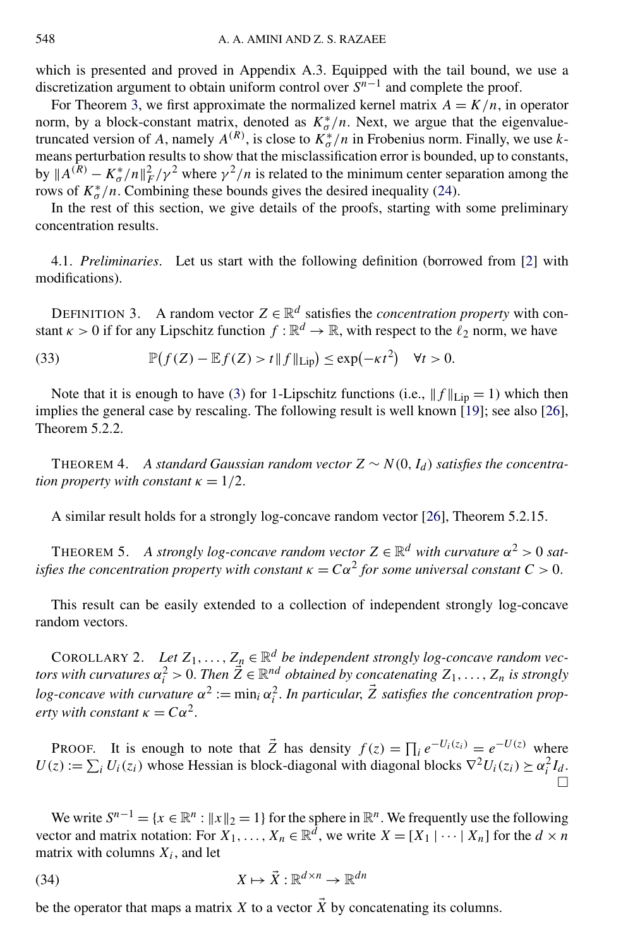<span id="page-17-0"></span>which is presented and proved in Appendix A.3. Equipped with the tail bound, we use a discretization argument to obtain uniform control over *Sn*−<sup>1</sup> and complete the proof.

For Theorem [3,](#page-10-0) we first approximate the normalized kernel matrix  $A = K/n$ , in operator norm, by a block-constant matrix, denoted as  $K^*_{\sigma}/n$ . Next, we argue that the eigenvaluetruncated version of *A*, namely  $A^{(R)}$ , is close to  $K^*_{\sigma}/n$  in Frobenius norm. Finally, we use *k*means perturbation results to show that the misclassification error is bounded, up to constants, by  $||A^{(R)} - K^*_{\sigma}/n||_F^2 / \gamma^2$  where  $\gamma^2/n$  is related to the minimum center separation among the rows of  $K^*_{\sigma}/n$ . Combining these bounds gives the desired inequality [\(24\)](#page-10-0).

In the rest of this section, we give details of the proofs, starting with some preliminary concentration results.

4.1. *Preliminaries*. Let us start with the following definition (borrowed from [\[2\]](#page-23-0) with modifications).

DEFINITION 3. A random vector  $Z \in \mathbb{R}^d$  satisfies the *concentration property* with constant  $\kappa > 0$  if for any Lipschitz function  $f : \mathbb{R}^d \to \mathbb{R}$ , with respect to the  $\ell_2$  norm, we have

 $(33)$  $(f(Z) - \mathbb{E}f(Z) > t \| f \|_{\text{Lip}}) \leq \exp(-\kappa t^2) \quad \forall t > 0.$ 

Note that it is enough to have (3) for 1-Lipschitz functions (i.e.,  $||f||_{\text{Lip}} = 1$ ) which then implies the general case by rescaling. The following result is well known [\[19\]](#page-24-0); see also [\[26\]](#page-24-0), Theorem 5.2.2.

THEOREM 4. *A standard Gaussian random vector*  $Z \sim N(0, I_d)$  *satisfies the concentration property with constant*  $\kappa = 1/2$ .

A similar result holds for a strongly log-concave random vector [\[26\]](#page-24-0), Theorem 5.2.15.

THEOREM 5. *A strongly log-concave random vector*  $Z \in \mathbb{R}^d$  *with curvature*  $\alpha^2 > 0$  *satisfies the concentration property with constant*  $\kappa = C\alpha^2$  *for some universal constant*  $C > 0$ .

This result can be easily extended to a collection of independent strongly log-concave random vectors.

COROLLARY 2. Let  $Z_1, \ldots, Z_n \in \mathbb{R}^d$  be independent strongly log-concave random vec*tors with curvatures*  $\alpha_i^2 > 0$ . *Then*  $\vec{Z} \in \mathbb{R}^{nd}$  *obtained by concatenating*  $Z_1, \ldots, Z_n$  *is strongly log-concave with curvature*  $\alpha^2 := \min_i \alpha_i^2$ . *In particular,*  $\vec{Z}$  *satisfies the concentration property with constant*  $\kappa = C\alpha^2$ .

PROOF. It is enough to note that  $\vec{Z}$  has density  $f(z) = \prod_i e^{-U_i(z_i)} = e^{-U(z)}$  where  $U(z) := \sum_i U_i(z_i)$  whose Hessian is block-diagonal with diagonal blocks  $\nabla^2 U_i(z_i) \succeq \alpha_i^2 I_d$ . П

We write  $S^{n-1} = \{x \in \mathbb{R}^n : ||x||_2 = 1\}$  for the sphere in  $\mathbb{R}^n$ . We frequently use the following vector and matrix notation: For  $X_1, \ldots, X_n \in \mathbb{R}^d$ , we write  $X = [X_1 | \cdots | X_n]$  for the  $d \times n$ matrix with columns  $X_i$ , and let

(34) 
$$
X \mapsto \vec{X} : \mathbb{R}^{d \times n} \to \mathbb{R}^{dn}
$$

be the operator that maps a matrix *X* to a vector  $\vec{X}$  by concatenating its columns.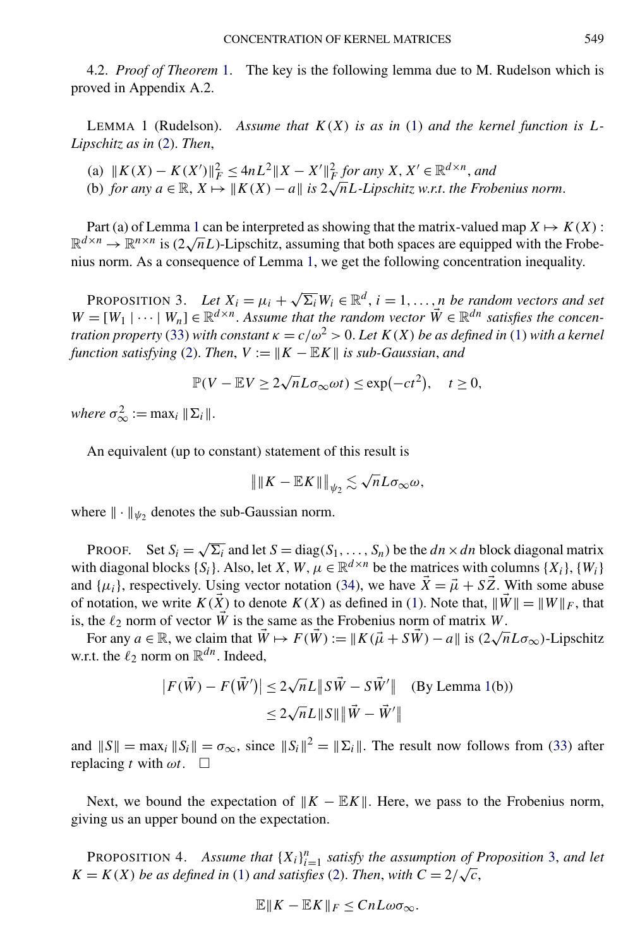<span id="page-18-0"></span>4.2. *Proof of Theorem* [1.](#page-4-0) The key is the following lemma due to M. Rudelson which is proved in Appendix A.2.

LEMMA 1 (Rudelson). Assume that  $K(X)$  is as in [\(1\)](#page-3-0) and the kernel function is L-*Lipschitz as in* [\(2\)](#page-3-0). *Then*,

 $f(x) = K(X')||_F^2 \le 4nL^2||X - X'||_F^2$  *for any*  $X, X' \in \mathbb{R}^{d \times n}$ *, and* (a)  $\|K(A) - K(A)\|_F \leq 4nL \, \|A - A\|_F$  for any  $A, A \in \mathbb{R}^m$ , and<br>(b) for any  $a \in \mathbb{R}, X \mapsto \|K(X) - a\|$  is  $2\sqrt{n}L$ -Lipschitz w.r.t. the Frobenius norm.

Part (a) of Lemma 1 can be interpreted as showing that the matrix-valued map  $X \mapsto K(X)$ :  $\mathbb{R}^{d \times n} \to \mathbb{R}^{n \times n}$  is  $(2\sqrt{n}L)$ -Lipschitz, assuming that both spaces are equipped with the Frobenius norm. As a consequence of Lemma 1, we get the following concentration inequality.

PROPOSITION 3. Let  $X_i = \mu_i + \sqrt{\Sigma_i} W_i \in \mathbb{R}^d$ ,  $i = 1, ..., n$  be random vectors and set  $W = [W_1 | \cdots | W_n] \in \mathbb{R}^{d \times n}$ . Assume that the random vector  $\vec{W} \in \mathbb{R}^{dn}$  satisfies the concen*tration property* [\(33\)](#page-17-0) *with constant*  $\kappa = c/\omega^2 > 0$ . Let  $K(X)$  be as defined in [\(1\)](#page-3-0) with a kernel *function satisfying* [\(2\)](#page-3-0). *Then,*  $V := ||K - \mathbb{E}K||$  *is sub-Gaussian, and* 

$$
\mathbb{P}(V - \mathbb{E}V \ge 2\sqrt{n}L\sigma_{\infty}\omega t) \le \exp(-ct^2), \quad t \ge 0,
$$

*where*  $\sigma_{\infty}^2 := \max_i ||\Sigma_i||$ .

An equivalent (up to constant) statement of this result is

$$
\|\|K - \mathbb{E}K\|\|_{\psi_2} \lesssim \sqrt{n}L\sigma_{\infty}\omega,
$$

where  $\|\cdot\|_{\psi_2}$  denotes the sub-Gaussian norm.

PROOF. Set  $S_i = \sqrt{\sum_i}$  and let  $S = \text{diag}(S_1, \ldots, S_n)$  be the  $dn \times dn$  block diagonal matrix with diagonal blocks  $\{S_i\}$ . Also, let *X*, *W*,  $\mu \in \mathbb{R}^{d \times n}$  be the matrices with columns  $\{X_i\}$ ,  $\{W_i\}$ and  $\{\mu_i\}$ , respectively. Using vector notation [\(34\)](#page-17-0), we have  $\overrightarrow{X} = \overrightarrow{\mu} + \overrightarrow{SZ}$ . With some abuse of notation, we write  $K(\overrightarrow{X})$  to denote  $K(X)$  as defined in [\(1\)](#page-3-0). Note that,  $\|\overrightarrow{W}\| = \|W\|_F$ , that is, the  $\ell_2$  norm of vector  $\tilde{W}$  is the same as the Frobenius norm of matrix *W*.

For any  $a \in \mathbb{R}$ , we claim that  $\vec{W} \mapsto F(\vec{W}) := ||K(\vec{\mu} + S\vec{W}) - a||$  is  $(2\sqrt{n}L\sigma_{\infty})$ -Lipschitz w.r.t. the  $\ell_2$  norm on  $\mathbb{R}^{dn}$ . Indeed,

$$
|F(\vec{W}) - F(\vec{W}')| \le 2\sqrt{n}L ||S\vec{W} - S\vec{W}'|| \quad \text{(By Lemma 1(b))}
$$

$$
\le 2\sqrt{n}L ||S|| ||\vec{W} - \vec{W}'||
$$

and  $||S|| = max_i ||S_i|| = \sigma_{\infty}$ , since  $||S_i||^2 = ||\Sigma_i||$ . The result now follows from [\(33\)](#page-17-0) after replacing *t* with  $\omega t$ .  $\Box$ 

Next, we bound the expectation of  $||K - EK||$ . Here, we pass to the Frobenius norm, giving us an upper bound on the expectation.

PROPOSITION 4. Assume that  ${X_i}_{i=1}^n$  satisfy the assumption of Proposition 3, and let *K* = *K(X) be as defined in* [\(1\)](#page-3-0) *and satisfies* [\(2\)](#page-3-0). *Then*, *with*  $C = 2/\sqrt{c}$ ,

$$
\mathbb{E} \| K - \mathbb{E} K \|_F \leq C n L \omega \sigma_{\infty}.
$$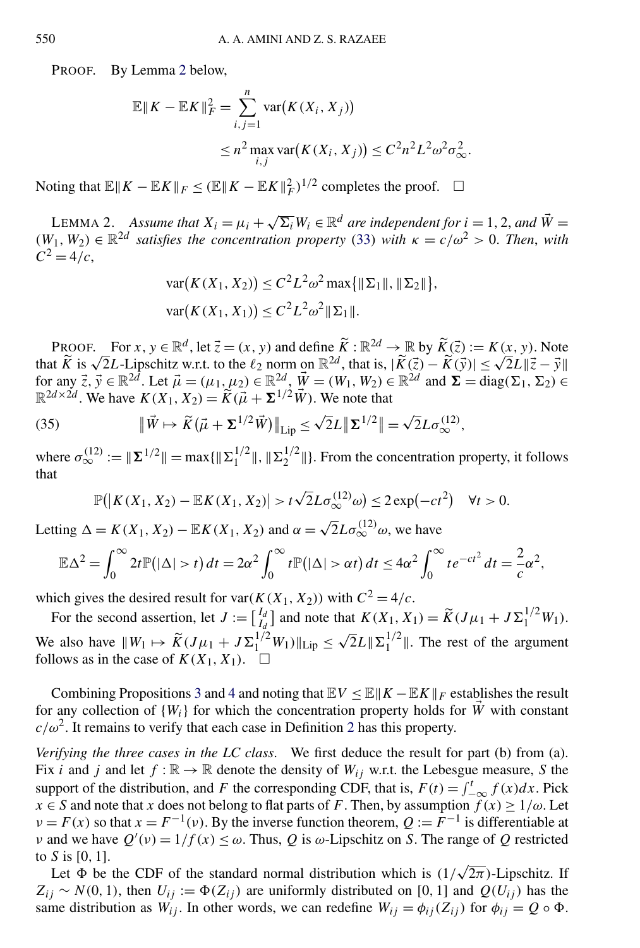PROOF. By Lemma 2 below,

$$
\mathbb{E}||K - \mathbb{E}K||_F^2 = \sum_{i,j=1}^n \text{var}(K(X_i, X_j))
$$
  
 
$$
\leq n^2 \max_{i,j} \text{var}(K(X_i, X_j)) \leq C^2 n^2 L^2 \omega^2 \sigma_{\infty}^2.
$$

Noting that  $\mathbb{E} ||K - \mathbb{E}K||_F \leq (\mathbb{E} ||K - \mathbb{E}K||_F^2)^{1/2}$  completes the proof.  $□$ 

LEMMA 2. *Assume that*  $X_i = \mu_i + \sqrt{\Sigma_i} W_i \in \mathbb{R}^d$  *are independent for*  $i = 1, 2$ *, and*  $\vec{W} =$  $(W_1, W_2) \in \mathbb{R}^{2d}$  *satisfies the concentration property* [\(33\)](#page-17-0) *with*  $\kappa = c/\omega^2 > 0$ . *Then, with*  $C^2 = 4/c$ ,

$$
\begin{aligned} \n\text{var}(K(X_1, X_2)) &\leq C^2 L^2 \omega^2 \max\{\|\Sigma_1\|, \|\Sigma_2\|\}, \\ \n\text{var}(K(X_1, X_1)) &\leq C^2 L^2 \omega^2 \|\Sigma_1\|. \n\end{aligned}
$$

PROOF. For  $x, y \in \mathbb{R}^d$ , let  $\vec{z} = (x, y)$  and define  $\tilde{K} : \mathbb{R}^{2d} \to \mathbb{R}$  by  $\tilde{K}(\vec{z}) := K(x, y)$ . Note that  $\tilde{K}$  is  $\sqrt{2}L$ -Lipschitz w.r.t. to the  $\ell_2$  norm on  $\mathbb{R}^{2d}$ , that is,  $|\tilde{K}(\vec{z}) - \tilde{K}$ for any  $\vec{z}$ ,  $\vec{y} \in \mathbb{R}^{2d}$ . Let  $\vec{\mu} = (\mu_1, \mu_2) \in \mathbb{R}^{2d}$ ,  $\vec{\Psi} = (\overline{W}_1, \overline{W}_2) \in \mathbb{R}^{2d}$  and  $\vec{\Sigma} = \text{diag}(\Sigma_1, \Sigma_2) \in$  $\mathbb{R}^{2d \times 2d}$ . We have  $K(X_1, X_2) = \widetilde{K}(\vec{\mu} + \Sigma^{1/2} \vec{W})$ . We note that

(35) 
$$
\|\vec{W} \mapsto \widetilde{K}(\vec{\mu} + \Sigma^{1/2}\vec{W})\|_{\text{Lip}} \leq \sqrt{2}L \|\Sigma^{1/2}\| = \sqrt{2}L\sigma_{\infty}^{(12)},
$$

where  $\sigma_{\infty}^{(12)} := ||\Sigma^{1/2}|| = \max{ {||\Sigma_1^{1/2}||, ||\Sigma_2^{1/2}|| } }$ . From the concentration property, it follows that

$$
\mathbb{P}(|K(X_1, X_2) - \mathbb{E}K(X_1, X_2)| > t\sqrt{2}L\sigma_{\infty}^{(12)}\omega) \le 2\exp(-ct^2) \quad \forall t > 0.
$$

Letting  $\Delta = K(X_1, X_2) - \mathbb{E}K(X_1, X_2)$  and  $\alpha = \sqrt{2}L\sigma_{\infty}^{(12)}\omega$ , we have

$$
\mathbb{E}\Delta^2 = \int_0^\infty 2t \mathbb{P}(|\Delta| > t) dt = 2\alpha^2 \int_0^\infty t \mathbb{P}(|\Delta| > \alpha t) dt \le 4\alpha^2 \int_0^\infty t e^{-ct^2} dt = \frac{2}{c}\alpha^2,
$$

which gives the desired result for var $(K(X_1, X_2))$  with  $C^2 = 4/c$ .

For the second assertion, let  $J := \begin{bmatrix} I_d \\ I_d \end{bmatrix}$  and note that  $K(X_1, X_1) = \widetilde{K}(J\mu_1 + J\Sigma_1^{1/2}W_1)$ . We also have  $||W_1 \mapsto \widetilde{K}(J\mu_1 + J\Sigma_1^{1/2}W_1)||_{\text{Lip}} \leq \sqrt{2}L||\Sigma_1^{1/2}||$ . The rest of the argument follows as in the case of  $K(X_1, X_1)$ .

Combining Propositions [3](#page-18-0) and [4](#page-18-0) and noting that  $EV \le E|K - EK|_F$  establishes the result for any collection of  $\{W_i\}$  for which the concentration property holds for  $\tilde{W}$  with constant  $c/\omega^2$  $c/\omega^2$ . It remains to verify that each case in Definition 2 has this property.

*Verifying the three cases in the LC class*. We first deduce the result for part (b) from (a). Fix *i* and *j* and let  $f : \mathbb{R} \to \mathbb{R}$  denote the density of  $W_{ij}$  w.r.t. the Lebesgue measure, *S* the support of the distribution, and *F* the corresponding CDF, that is,  $F(t) = \int_{-\infty}^{t} f(x) dx$ . Pick  $x \in S$  and note that *x* does not belong to flat parts of *F*. Then, by assumption  $f(x) \ge 1/\omega$ . Let  $\nu = F(x)$  so that  $x = F^{-1}(v)$ . By the inverse function theorem,  $Q := F^{-1}$  is differentiable at *ν* and we have  $Q'(v) = 1/f(x) \le \omega$ . Thus, *Q* is  $\omega$ -Lipschitz on *S*. The range of *Q* restricted to *S* is [0*,* 1].

Let *-* be the CDF of the standard normal distribution which is *(*1*/* <sup>√</sup>2*π)*-Lipschitz. If  $Z_{ij} \sim N(0, 1)$ , then  $U_{ij} := \Phi(Z_{ij})$  are uniformly distributed on [0, 1] and  $Q(U_{ij})$  has the same distribution as  $W_{ij}$ . In other words, we can redefine  $W_{ij} = \phi_{ij}(Z_{ij})$  for  $\phi_{ij} = Q \circ \Phi$ .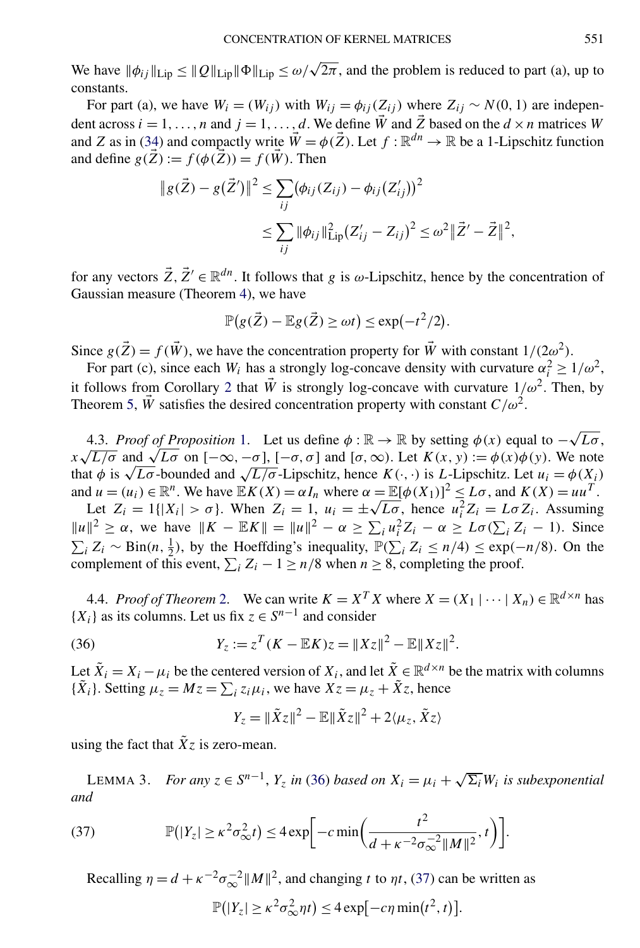<span id="page-20-0"></span>We have  $\|\phi_{ij}\|_{\text{Lip}} \leq \|Q\|_{\text{Lip}} \|\Phi\|_{\text{Lip}} \leq \omega/\sqrt{2\pi}$ , and the problem is reduced to part (a), up to constants.

For part (a), we have  $W_i = (W_{ij})$  with  $W_{ij} = \phi_{ij}(Z_{ij})$  where  $Z_{ij} \sim N(0, 1)$  are independent across  $i = 1, \ldots, n$  and  $j = 1, \ldots, d$ . We define  $\vec{W}$  and  $\vec{Z}$  based on the  $d \times n$  matrices  $W$ and *Z* as in [\(34\)](#page-17-0) and compactly write  $\vec{W} = \phi(\vec{Z})$ . Let  $f : \mathbb{R}^{dn} \to \mathbb{R}$  be a 1-Lipschitz function and define  $g(\vec{Z}) := f(\phi(\vec{Z})) = f(\vec{W})$ . Then

$$
\|g(\vec{Z}) - g(\vec{Z}')\|^2 \le \sum_{ij} (\phi_{ij}(Z_{ij}) - \phi_{ij}(Z'_{ij}))^2
$$
  

$$
\le \sum_{ij} \|\phi_{ij}\|^2_{\text{Lip}} (Z'_{ij} - Z_{ij})^2 \le \omega^2 \|\vec{Z}' - \vec{Z}\|^2,
$$

for any vectors  $\vec{Z}$ ,  $\vec{Z}' \in \mathbb{R}^{dn}$ . It follows that *g* is *ω*-Lipschitz, hence by the concentration of Gaussian measure (Theorem [4\)](#page-17-0), we have

$$
\mathbb{P}(g(\vec{Z}) - \mathbb{E}g(\vec{Z}) \ge \omega t) \le \exp(-t^2/2).
$$

Since  $g(\vec{Z}) = f(\vec{W})$ , we have the concentration property for  $\vec{W}$  with constant  $1/(2\omega^2)$ .

For part (c), since each *W<sub>i</sub>* has a strongly log-concave density with curvature  $\alpha_i^2 \geq 1/\omega^2$ , it follows from Corollary [2](#page-17-0) that  $\vec{W}$  is strongly log-concave with curvature  $1/\omega^2$ . Then, by Theorem [5,](#page-17-0)  $\vec{W}$  satisfies the desired concentration property with constant  $C/\omega^2$ .

4.3. *Proof of Proposition* [1.](#page-4-0) Let us define  $\phi : \mathbb{R} \to \mathbb{R}$  by setting  $\phi(x)$  equal to  $-\sqrt{L\sigma}$ , 4.3. *Proof of Proposition* 1. Let us define  $\varphi : \mathbb{R} \to \mathbb{R}$  by setting  $\varphi(x)$  equal to  $-\sqrt{L\sigma}$ ,  $x\sqrt{L/\sigma}$  and  $\sqrt{L\sigma}$  on  $[-\infty, -\sigma]$ ,  $[-\sigma, \sigma]$  and  $[\sigma, \infty)$ . Let  $K(x, y) := \varphi(x)\varphi(y)$ . We note that  $\phi$  is  $\sqrt{L\sigma}$ -bounded and  $\sqrt{L/\sigma}$ -Lipschitz, hence  $K(\cdot, \cdot)$  is *L*-Lipschitz. Let  $u_i = \phi(X_i)$ and  $u = (u_i) \in \mathbb{R}^n$ . We have  $\mathbb{E}K(X) = \alpha I_n$  where  $\alpha = \mathbb{E}[\phi(X_1)]^2 \leq L\sigma$ , and  $K(X) = uu^T$ .

 $\alpha u = (u_i) \in \mathbb{R}^n$ . We have  $\mathbb{E}K(X) = \alpha I_n$  where  $\alpha = \mathbb{E}[\phi(X_1)]^2 \leq L\sigma$ , and  $K(X) = uu^2$ .<br>Let  $Z_i = 1\{|X_i| > \sigma\}$ . When  $Z_i = 1$ ,  $u_i = \pm \sqrt{L\sigma}$ , hence  $u_i^2 Z_i = L\sigma Z_i$ . Assuming  $||u||^2 \ge \alpha$ , we have  $||K - \mathbb{E}K|| = ||u||^2 - \alpha \ge \sum_i u_i^2 Z_i - \alpha \ge L\sigma(\sum_i Z_i - 1)$ . Since  $\sum_i Z_i$  ∼ Bin(*n*,  $\frac{1}{2}$ ), by the Hoeffding's inequality,  $\mathbb{P}(\sum_i Z_i \le n/4) \le \exp(-n/8)$ . On the complement of this event,  $\sum_i Z_i - 1 \ge n/8$  when  $n \ge 8$ , completing the proof.

4.4. *Proof of Theorem* [2.](#page-6-0) We can write  $K = X^T X$  where  $X = (X_1 | \cdots | X_n) \in \mathbb{R}^{d \times n}$  has  ${X_i}$  as its columns. Let us fix  $z \in S^{n-1}$  and consider

(36) 
$$
Y_z := z^T (K - \mathbb{E} K) z = \|Xz\|^2 - \mathbb{E} \|Xz\|^2.
$$

Let  $\tilde{X}_i = X_i - \mu_i$  be the centered version of  $X_i$ , and let  $\tilde{X} \in \mathbb{R}^{d \times n}$  be the matrix with columns { $\tilde{X}_i$ }. Setting  $\mu_z = Mz = \sum_i z_i \mu_i$ , we have  $Xz = \mu_z + \tilde{X}z$ , hence

$$
Y_z = \|\tilde{X}z\|^2 - \mathbb{E}\|\tilde{X}z\|^2 + 2\langle \mu_z, \tilde{X}z \rangle
$$

using the fact that  $\tilde{X}$ *z* is zero-mean.

LEMMA 3. *For any*  $z \in S^{n-1}$ ,  $Y_z$  *in* (36) *based on*  $X_i = \mu_i + \sqrt{\Sigma_i} W_i$  *is subexponential and*

(37) 
$$
\mathbb{P}(|Y_z| \geq \kappa^2 \sigma_{\infty}^2 t) \leq 4 \exp\bigg[-c \min\bigg(\frac{t^2}{d + \kappa^{-2} \sigma_{\infty}^{-2} ||M||^2}, t\bigg)\bigg].
$$

Recalling  $\eta = d + \kappa^{-2} \sigma_{\infty}^{-2} ||M||^2$ , and changing *t* to  $\eta t$ , (37) can be written as

$$
\mathbb{P}(|Y_z| \ge \kappa^2 \sigma_\infty^2 \eta t) \le 4 \exp[-c \eta \min(t^2, t)].
$$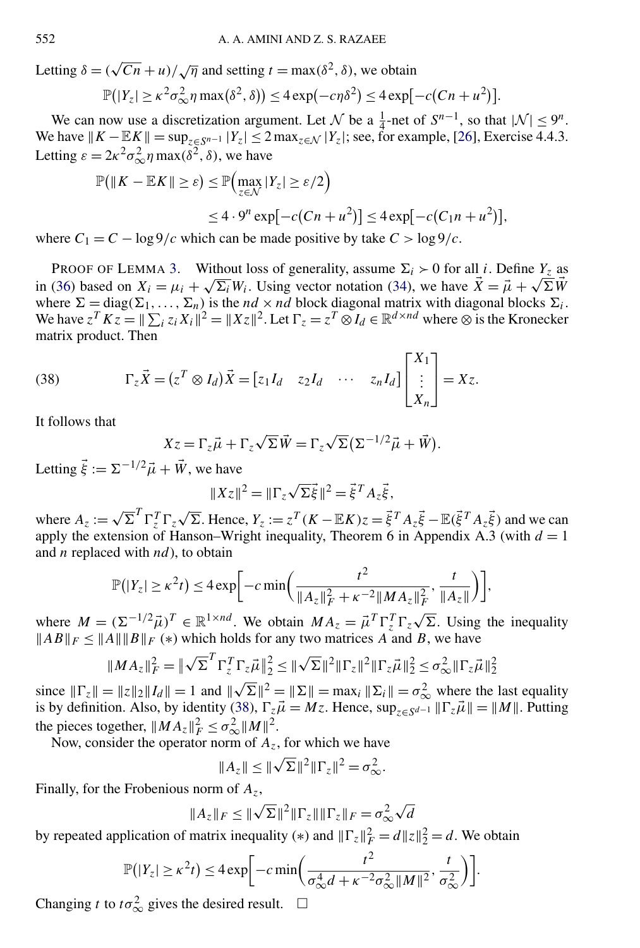Letting  $\delta = (\sqrt{Cn} + u)/\sqrt{\eta}$  and setting  $t = \max(\delta^2, \delta)$ , we obtain

$$
\mathbb{P}(|Y_z| \ge \kappa^2 \sigma_{\infty}^2 \eta \max(\delta^2, \delta)) \le 4 \exp(-c\eta \delta^2) \le 4 \exp[-c(Cn + u^2)].
$$

We can now use a discretization argument. Let N be a  $\frac{1}{4}$ -net of  $S^{n-1}$ , so that  $|\mathcal{N}| \leq 9^n$ . We have  $||K - \mathbb{E}K|| = \sup_{z \in S^{n-1}} |Y_z| \le 2 \max_{z \in \mathcal{N}} |Y_z|$ ; see, for example, [\[26\]](#page-24-0), Exercise 4.4.3. Letting  $\varepsilon = 2\kappa^2 \sigma_{\infty}^2 \eta \max(\delta^2, \delta)$ , we have

$$
\mathbb{P}(\|K - \mathbb{E}K\| \ge \varepsilon) \le \mathbb{P}\Big(\max_{z \in \mathcal{N}} |Y_z| \ge \varepsilon/2\Big)
$$
  
 
$$
\le 4 \cdot 9^n \exp[-c(Cn + u^2)] \le 4 \exp[-c(C_1n + u^2)],
$$

where  $C_1 = C - \log 9/c$  which can be made positive by take  $C > \log 9/c$ .

PROOF OF LEMMA [3.](#page-20-0) Without loss of generality, assume  $\Sigma_i > 0$  for all *i*. Define  $Y_z$  as in [\(36\)](#page-20-0) based on  $X_i = \mu_i + \sqrt{\Sigma_i} W_i$ . Using vector notation [\(34\)](#page-17-0), we have  $\vec{X} = \vec{\mu} + \sqrt{\Sigma} \vec{W}$ where  $\Sigma = diag(\Sigma_1, \dots, \Sigma_n)$  is the *nd* × *nd* block diagonal matrix with diagonal blocks  $\Sigma_i$ . We have  $z^T K z = ||\sum_i z_i X_i||^2 = ||Xz||^2$ . Let  $\Gamma_z = z^T \otimes I_d \in \mathbb{R}^{d \times nd}$  where  $\otimes$  is the Kronecker matrix product. Then

(38) 
$$
\Gamma_z \vec{X} = (z^T \otimes I_d) \vec{X} = [z_1 I_d \quad z_2 I_d \quad \cdots \quad z_n I_d] \begin{bmatrix} X_1 \\ \vdots \\ X_n \end{bmatrix} = Xz.
$$

It follows that

$$
Xz = \Gamma_z \vec{\mu} + \Gamma_z \sqrt{\Sigma} \vec{W} = \Gamma_z \sqrt{\Sigma} (\Sigma^{-1/2} \vec{\mu} + \vec{W}).
$$

Letting  $\vec{\xi} := \Sigma^{-1/2} \vec{\mu} + \vec{W}$ , we have

$$
||Xz||^2 = ||\Gamma_z \sqrt{\Sigma \vec{\xi}}||^2 = \vec{\xi}^T A_z \vec{\xi},
$$

where  $A_z := \sqrt{\sum^T \Gamma_z^T \Gamma_z \sqrt{\sum}}$ . Hence,  $Y_z := z^T (K - \mathbb{E}K) z = \vec{\xi}^T A_z \vec{\xi} - \mathbb{E}(\vec{\xi}^T A_z \vec{\xi})$  and we can apply the extension of Hanson–Wright inequality, Theorem 6 in Appendix A.3 (with  $d = 1$ ) and *n* replaced with *nd*), to obtain

$$
\mathbb{P}(|Y_z| \ge \kappa^2 t) \le 4 \exp \bigg[ -c \min \bigg( \frac{t^2}{\|A_z\|_F^2 + \kappa^{-2} \|MA_z\|_F^2}, \frac{t}{\|A_z\|} \bigg) \bigg],
$$

where  $M = (\Sigma^{-1/2} \vec{\mu})^T \in \mathbb{R}^{1 \times nd}$ . We obtain  $MA_z = \vec{\mu}^T \Gamma_z^T \Gamma_z \sqrt{\Sigma}$ . Using the inequality  $||AB||_F \le ||A|| ||B||_F$  (\*) which holds for any two matrices *A* and *B*, we have

$$
||MA_z||_F^2 = ||\sqrt{\Sigma}^T \Gamma_z^T \Gamma_z \vec{\mu}||_2^2 \le ||\sqrt{\Sigma}||^2 ||\Gamma_z||^2 ||\Gamma_z \vec{\mu}||_2^2 \le \sigma_\infty^2 ||\Gamma_z \vec{\mu}||_2^2
$$

since  $\|\Gamma_z\| = \|z\|_2 \|I_d\| = 1$  and  $\|\sqrt{\Sigma}\|^2 = \|\Sigma\| = \max_i \|\Sigma_i\| = \sigma_{\infty}^2$  where the last equality is by definition. Also, by identity (38),  $\Gamma_z \vec{\mu} = Mz$ . Hence,  $\sup_{z \in S} \vec{a} - 1$   $\|\Gamma_z \vec{\mu}\| = \|M\|$ . Putting the pieces together,  $||MA_z||_F^2 \leq \sigma_{\infty}^2 ||M||^2$ .

Now, consider the operator norm of  $A_z$ , for which we have

$$
||A_z|| \le ||\sqrt{\Sigma}||^2 ||\Gamma_z||^2 = \sigma_{\infty}^2.
$$

Finally, for the Frobenious norm of *Az*,

$$
||A_z||_F \le ||\sqrt{\Sigma}||^2 ||\Gamma_z|| ||\Gamma_z||_F = \sigma_\infty^2 \sqrt{d}
$$

by repeated application of matrix inequality (\*) and  $\|\Gamma_z\|_F^2 = d\|z\|_2^2 = d$ . We obtain

$$
\mathbb{P}(|Y_z| \ge \kappa^2 t) \le 4 \exp\bigg[-c \min\bigg(\frac{t^2}{\sigma_{\infty}^4 d + \kappa^{-2} \sigma_{\infty}^2 ||M||^2}, \frac{t}{\sigma_{\infty}^2}\bigg)\bigg].
$$

Changing *t* to  $t\sigma_{\infty}^2$  gives the desired result.  $\square$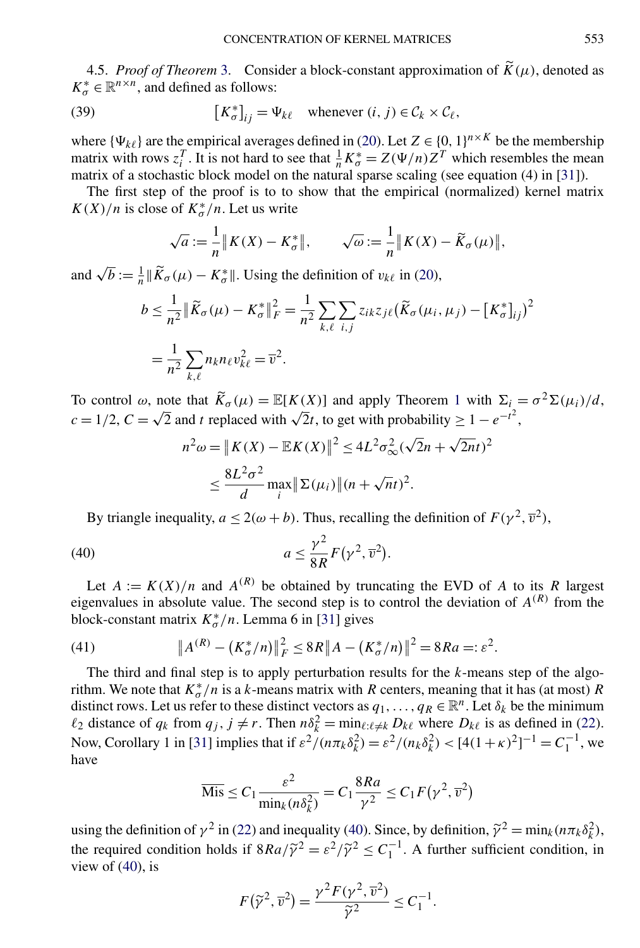4.5. *Proof of Theorem* [3.](#page-10-0) Consider a block-constant approximation of  $\widetilde{K}(\mu)$ , denoted as  $K^*_{\sigma} \in \mathbb{R}^{n \times n}$ , and defined as follows:

(39) 
$$
\left[K_{\sigma}^{*}\right]_{ij} = \Psi_{k\ell} \quad \text{whenever } (i, j) \in \mathcal{C}_{k} \times \mathcal{C}_{\ell},
$$

where  $\{\Psi_{k\ell}\}\$  are the empirical averages defined in [\(20\)](#page-9-0). Let  $Z \in \{0, 1\}^{n \times K}$  be the membership matrix with rows  $z_i^T$ . It is not hard to see that  $\frac{1}{n}K^*_{\sigma} = Z(\Psi/n)Z^T$  which resembles the mean matrix of a stochastic block model on the natural sparse scaling (see equation (4) in [\[31\]](#page-25-0)).

The first step of the proof is to to show that the empirical (normalized) kernel matrix  $K(X)/n$  is close of  $K^*_{\sigma}/n$ . Let us write

$$
\sqrt{a} := \frac{1}{n} || K(X) - K_{\sigma}^{*} ||, \qquad \sqrt{\omega} := \frac{1}{n} || K(X) - \widetilde{K}_{\sigma}(\mu) ||,
$$

and  $\sqrt{b} := \frac{1}{n} || \widetilde{K}_{\sigma}(\mu) - K_{\sigma}^{*} ||$ . Using the definition of  $v_{k\ell}$  in [\(20\)](#page-9-0),

$$
b \leq \frac{1}{n^2} \|\widetilde{K}_{\sigma}(\mu) - K_{\sigma}^*\|_F^2 = \frac{1}{n^2} \sum_{k,\ell} \sum_{i,j} z_{ik} z_{j\ell} (\widetilde{K}_{\sigma}(\mu_i, \mu_j) - [K_{\sigma}^*]_{ij})^2
$$
  
= 
$$
\frac{1}{n^2} \sum_{k,\ell} n_k n_{\ell} v_{k\ell}^2 = \overline{v}^2.
$$

To control  $\omega$ , note that  $\widetilde{K}_{\sigma}(\mu) = \mathbb{E}[K(X)]$  and apply Theorem [1](#page-4-0) with  $\Sigma_i = \sigma^2 \Sigma(\mu_i)/d$ , *c* = 1/2, *C* =  $\sqrt{2}$  and *t* replaced with  $\sqrt{2}t$ , to get with probability  $\geq 1 - e^{-t^2}$ ,

$$
n^2 \omega = \|K(X) - \mathbb{E}K(X)\|^2 \le 4L^2 \sigma_\infty^2 (\sqrt{2}n + \sqrt{2n}t)^2
$$
  

$$
\le \frac{8L^2 \sigma^2}{d} \max_i \|\Sigma(\mu_i)\| (n + \sqrt{n}t)^2.
$$

By triangle inequality,  $a \le 2(\omega + b)$ . Thus, recalling the definition of  $F(\gamma^2, \overline{\nu}^2)$ ,

(40) 
$$
a \leq \frac{\gamma^2}{8R} F(\gamma^2, \overline{v}^2).
$$

Let  $A := K(X)/n$  and  $A^{(R)}$  be obtained by truncating the EVD of *A* to its *R* largest eigenvalues in absolute value. The second step is to control the deviation of  $A^{(R)}$  from the block-constant matrix  $K_{\sigma}^{*}/n$ . Lemma 6 in [\[31\]](#page-25-0) gives

(41) 
$$
\|A^{(R)} - (K^*_{\sigma}/n)\|_F^2 \leq 8R \|A - (K^*_{\sigma}/n)\|^2 = 8Ra =: \varepsilon^2.
$$

The third and final step is to apply perturbation results for the *k*-means step of the algorithm. We note that  $K_{\sigma}^{*}/n$  is a *k*-means matrix with *R* centers, meaning that it has (at most) *R* distinct rows. Let us refer to these distinct vectors as  $q_1, \ldots, q_R \in \mathbb{R}^n$ . Let  $\delta_k$  be the minimum  $\ell_2$  distance of  $q_k$  from  $q_j$ ,  $j \neq r$ . Then  $n\delta_k^2 = \min_{\ell:\ell \neq k} D_{k\ell}$  where  $D_{k\ell}$  is as defined in [\(22\)](#page-9-0). Now, Corollary 1 in [\[31\]](#page-25-0) implies that if  $\varepsilon^2/(n\pi_k\delta_k^2) = \varepsilon^2/(n_k\delta_k^2) < [4(1 + \kappa)^2]^{-1} = C_1^{-1}$ , we have

$$
\overline{\text{Mis}} \le C_1 \frac{\varepsilon^2}{\min_k (n \delta_k^2)} = C_1 \frac{8Ra}{\gamma^2} \le C_1 F(\gamma^2, \overline{v}^2)
$$

using the definition of  $\gamma^2$  in [\(22\)](#page-9-0) and inequality (40). Since, by definition,  $\tilde{\gamma}^2 = \min_k (n \pi_k \delta_k^2)$ , the required condition holds if  $8Ra/\tilde{\gamma}^2 = \varepsilon^2/\tilde{\gamma}^2 \leq C_1^{-1}$ . A further sufficient condition, in view of  $(40)$ , is

$$
F(\widetilde{\gamma}^2, \overline{v}^2) = \frac{\gamma^2 F(\gamma^2, \overline{v}^2)}{\widetilde{\gamma}^2} \le C_1^{-1}.
$$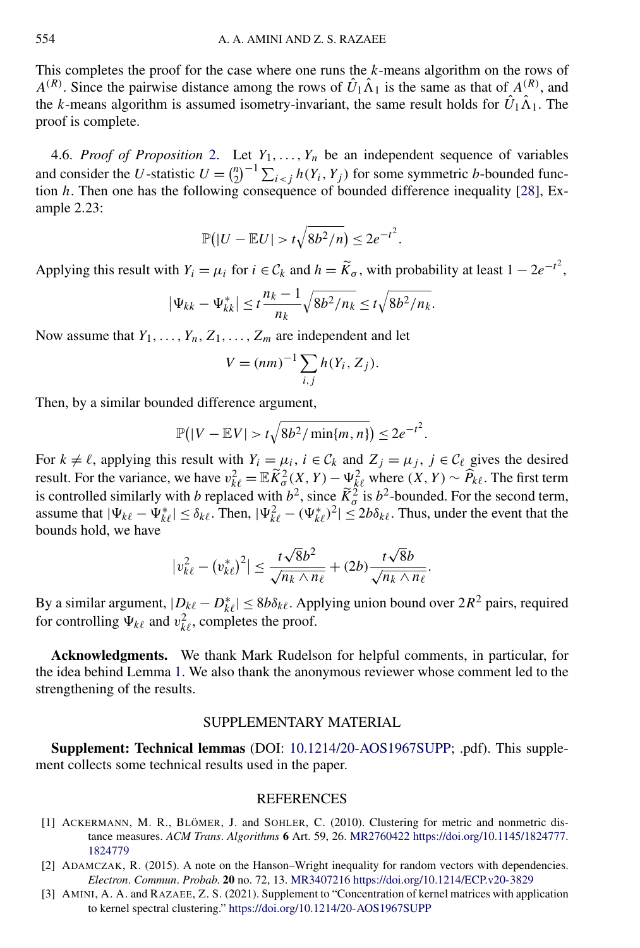<span id="page-23-0"></span>This completes the proof for the case where one runs the *k*-means algorithm on the rows of  $A^{(R)}$ . Since the pairwise distance among the rows of  $\hat{U}_1 \hat{\Lambda}_1$  is the same as that of  $A^{(R)}$ , and the *k*-means algorithm is assumed isometry-invariant, the same result holds for  $\hat{U}_1 \hat{\Lambda}_1$ . The proof is complete.

4.6. *Proof of Proposition* [2.](#page-12-0) Let  $Y_1, \ldots, Y_n$  be an independent sequence of variables and consider the *U*-statistic  $U = \binom{n}{2}^{-1} \sum_{i < j} h(Y_i, Y_j)$  for some symmetric *b*-bounded function *h*. Then one has the following consequence of bounded difference inequality [\[28\]](#page-25-0), Example 2.23:

$$
\mathbb{P}(|U - \mathbb{E} U| > t\sqrt{8b^2/n}) \le 2e^{-t^2}.
$$

Applying this result with  $Y_i = \mu_i$  for  $i \in C_k$  and  $h = \widetilde{K}_{\sigma}$ , with probability at least  $1 - 2e^{-t^2}$ ,

$$
|\Psi_{kk} - \Psi_{kk}^*| \leq t \frac{n_k - 1}{n_k} \sqrt{8b^2/n_k} \leq t \sqrt{8b^2/n_k}.
$$

Now assume that  $Y_1, \ldots, Y_n, Z_1, \ldots, Z_m$  are independent and let

$$
V = (nm)^{-1} \sum_{i,j} h(Y_i, Z_j).
$$

Then, by a similar bounded difference argument,

$$
\mathbb{P}(|V - \mathbb{E}V| > t\sqrt{8b^2/\min\{m,n\}}) \le 2e^{-t^2}.
$$

For  $k \neq \ell$ , applying this result with  $Y_i = \mu_i$ ,  $i \in \mathcal{C}_k$  and  $Z_j = \mu_j$ ,  $j \in \mathcal{C}_\ell$  gives the desired result. For the variance, we have  $v_{k\ell}^2 = \mathbb{E} \widetilde{K}^2_{\sigma}(X, Y) - \mathcal{Y}_{k\ell}^2$  where  $(X, Y) \sim \widehat{P}_{k\ell}$ . The first term is controlled similarly with *b* replaced with  $b^2$ , since  $\tilde{K}^2_{\sigma}$  is  $b^2$ -bounded. For the second term, assume that  $|\Psi_{k\ell} - \Psi_{k\ell}^*| \le \delta_{k\ell}$ . Then,  $|\Psi_{k\ell}^2 - (\Psi_{k\ell}^*)^2| \le 2b\delta_{k\ell}$ . Thus, under the event that the bounds hold, we have

$$
|v_{k\ell}^2 - (v_{k\ell}^*)^2| \le \frac{t\sqrt{8}b^2}{\sqrt{n_k \wedge n_\ell}} + (2b)\frac{t\sqrt{8}b}{\sqrt{n_k \wedge n_\ell}}.
$$

By a similar argument,  $|D_{k\ell} - D_{k\ell}^*| \le 8b\delta_{k\ell}$ . Applying union bound over  $2R^2$  pairs, required for controlling  $\Psi_{k\ell}$  and  $v_{k\ell}^2$ , completes the proof.

**Acknowledgments.** We thank Mark Rudelson for helpful comments, in particular, for the idea behind Lemma [1.](#page-18-0) We also thank the anonymous reviewer whose comment led to the strengthening of the results.

#### SUPPLEMENTARY MATERIAL

**Supplement: Technical lemmas** (DOI: [10.1214/20-AOS1967SUPP;](https://doi.org/10.1214/20-AOS1967SUPP) .pdf). This supplement collects some technical results used in the paper.

#### REFERENCES

- [1] ACKERMANN, M. R., BLÖMER, J. and SOHLER, C. (2010). Clustering for metric and nonmetric distance measures. *ACM Trans*. *Algorithms* **6** Art. 59, 26. [MR2760422](http://www.ams.org/mathscinet-getitem?mr=2760422) [https://doi.org/10.1145/1824777.](https://doi.org/10.1145/1824777.1824779) [1824779](https://doi.org/10.1145/1824777.1824779)
- [2] ADAMCZAK, R. (2015). A note on the Hanson–Wright inequality for random vectors with dependencies. *Electron*. *Commun*. *Probab*. **20** no. 72, 13. [MR3407216](http://www.ams.org/mathscinet-getitem?mr=3407216)<https://doi.org/10.1214/ECP.v20-3829>
- [3] AMINI, A. A. and RAZAEE, Z. S. (2021). Supplement to "Concentration of kernel matrices with application to kernel spectral clustering." <https://doi.org/10.1214/20-AOS1967SUPP>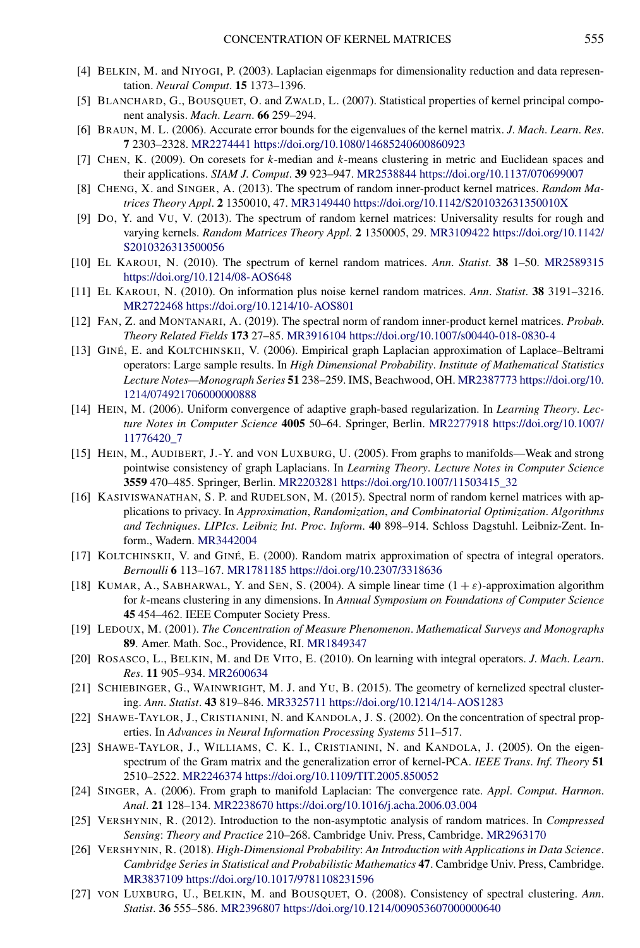- <span id="page-24-0"></span>[4] BELKIN, M. and NIYOGI, P. (2003). Laplacian eigenmaps for dimensionality reduction and data representation. *Neural Comput*. **15** 1373–1396.
- [5] BLANCHARD, G., BOUSQUET, O. and ZWALD, L. (2007). Statistical properties of kernel principal component analysis. *Mach*. *Learn*. **66** 259–294.
- [6] BRAUN, M. L. (2006). Accurate error bounds for the eigenvalues of the kernel matrix. *J*. *Mach*. *Learn*. *Res*. **7** 2303–2328. [MR2274441](http://www.ams.org/mathscinet-getitem?mr=2274441)<https://doi.org/10.1080/14685240600860923>
- [7] CHEN, K. (2009). On coresets for *k*-median and *k*-means clustering in metric and Euclidean spaces and their applications. *SIAM J*. *Comput*. **39** 923–947. [MR2538844](http://www.ams.org/mathscinet-getitem?mr=2538844)<https://doi.org/10.1137/070699007>
- [8] CHENG, X. and SINGER, A. (2013). The spectrum of random inner-product kernel matrices. *Random Matrices Theory Appl*. **2** 1350010, 47. [MR3149440](http://www.ams.org/mathscinet-getitem?mr=3149440)<https://doi.org/10.1142/S201032631350010X>
- [9] DO, Y. and VU, V. (2013). The spectrum of random kernel matrices: Universality results for rough and varying kernels. *Random Matrices Theory Appl*. **2** 1350005, 29. [MR3109422](http://www.ams.org/mathscinet-getitem?mr=3109422) [https://doi.org/10.1142/](https://doi.org/10.1142/S2010326313500056) [S2010326313500056](https://doi.org/10.1142/S2010326313500056)
- [10] EL KAROUI, N. (2010). The spectrum of kernel random matrices. *Ann*. *Statist*. **38** 1–50. [MR2589315](http://www.ams.org/mathscinet-getitem?mr=2589315) <https://doi.org/10.1214/08-AOS648>
- [11] EL KAROUI, N. (2010). On information plus noise kernel random matrices. *Ann*. *Statist*. **38** 3191–3216. [MR2722468](http://www.ams.org/mathscinet-getitem?mr=2722468)<https://doi.org/10.1214/10-AOS801>
- [12] FAN, Z. and MONTANARI, A. (2019). The spectral norm of random inner-product kernel matrices. *Probab*. *Theory Related Fields* **173** 27–85. [MR3916104](http://www.ams.org/mathscinet-getitem?mr=3916104)<https://doi.org/10.1007/s00440-018-0830-4>
- [13] GINÉ, E. and KOLTCHINSKII, V. (2006). Empirical graph Laplacian approximation of Laplace–Beltrami operators: Large sample results. In *High Dimensional Probability*. *Institute of Mathematical Statistics Lecture Notes—Monograph Series* **51** 238–259. IMS, Beachwood, OH. [MR2387773](http://www.ams.org/mathscinet-getitem?mr=2387773) [https://doi.org/10.](https://doi.org/10.1214/074921706000000888) [1214/074921706000000888](https://doi.org/10.1214/074921706000000888)
- [14] HEIN, M. (2006). Uniform convergence of adaptive graph-based regularization. In *Learning Theory*. *Lecture Notes in Computer Science* **4005** 50–64. Springer, Berlin. [MR2277918](http://www.ams.org/mathscinet-getitem?mr=2277918) [https://doi.org/10.1007/](https://doi.org/10.1007/11776420_7) [11776420\\_7](https://doi.org/10.1007/11776420_7)
- [15] HEIN, M., AUDIBERT, J.-Y. and VON LUXBURG, U. (2005). From graphs to manifolds—Weak and strong pointwise consistency of graph Laplacians. In *Learning Theory*. *Lecture Notes in Computer Science* **3559** 470–485. Springer, Berlin. [MR2203281](http://www.ams.org/mathscinet-getitem?mr=2203281) [https://doi.org/10.1007/11503415\\_32](https://doi.org/10.1007/11503415_32)
- [16] KASIVISWANATHAN, S. P. and RUDELSON, M. (2015). Spectral norm of random kernel matrices with applications to privacy. In *Approximation*, *Randomization*, *and Combinatorial Optimization*. *Algorithms and Techniques*. *LIPIcs*. *Leibniz Int*. *Proc*. *Inform*. **40** 898–914. Schloss Dagstuhl. Leibniz-Zent. Inform., Wadern. [MR3442004](http://www.ams.org/mathscinet-getitem?mr=3442004)
- [17] KOLTCHINSKII, V. and GINÉ, E. (2000). Random matrix approximation of spectra of integral operators. *Bernoulli* **6** 113–167. [MR1781185](http://www.ams.org/mathscinet-getitem?mr=1781185)<https://doi.org/10.2307/3318636>
- [18] KUMAR, A., SABHARWAL, Y. and SEN, S. (2004). A simple linear time  $(1 + \varepsilon)$ -approximation algorithm for *k*-means clustering in any dimensions. In *Annual Symposium on Foundations of Computer Science* **45** 454–462. IEEE Computer Society Press.
- [19] LEDOUX, M. (2001). *The Concentration of Measure Phenomenon*. *Mathematical Surveys and Monographs* **89**. Amer. Math. Soc., Providence, RI. [MR1849347](http://www.ams.org/mathscinet-getitem?mr=1849347)
- [20] ROSASCO, L., BELKIN, M. and DE VITO, E. (2010). On learning with integral operators. *J*. *Mach*. *Learn*. *Res*. **11** 905–934. [MR2600634](http://www.ams.org/mathscinet-getitem?mr=2600634)
- [21] SCHIEBINGER, G., WAINWRIGHT, M. J. and YU, B. (2015). The geometry of kernelized spectral clustering. *Ann*. *Statist*. **43** 819–846. [MR3325711](http://www.ams.org/mathscinet-getitem?mr=3325711)<https://doi.org/10.1214/14-AOS1283>
- [22] SHAWE-TAYLOR, J., CRISTIANINI, N. and KANDOLA, J. S. (2002). On the concentration of spectral properties. In *Advances in Neural Information Processing Systems* 511–517.
- [23] SHAWE-TAYLOR, J., WILLIAMS, C. K. I., CRISTIANINI, N. and KANDOLA, J. (2005). On the eigenspectrum of the Gram matrix and the generalization error of kernel-PCA. *IEEE Trans*. *Inf*. *Theory* **51** 2510–2522. [MR2246374](http://www.ams.org/mathscinet-getitem?mr=2246374)<https://doi.org/10.1109/TIT.2005.850052>
- [24] SINGER, A. (2006). From graph to manifold Laplacian: The convergence rate. *Appl*. *Comput*. *Harmon*. *Anal*. **21** 128–134. [MR2238670](http://www.ams.org/mathscinet-getitem?mr=2238670)<https://doi.org/10.1016/j.acha.2006.03.004>
- [25] VERSHYNIN, R. (2012). Introduction to the non-asymptotic analysis of random matrices. In *Compressed Sensing*: *Theory and Practice* 210–268. Cambridge Univ. Press, Cambridge. [MR2963170](http://www.ams.org/mathscinet-getitem?mr=2963170)
- [26] VERSHYNIN, R. (2018). *High-Dimensional Probability*: *An Introduction with Applications in Data Science*. *Cambridge Series in Statistical and Probabilistic Mathematics* **47**. Cambridge Univ. Press, Cambridge. [MR3837109](http://www.ams.org/mathscinet-getitem?mr=3837109)<https://doi.org/10.1017/9781108231596>
- [27] VON LUXBURG, U., BELKIN, M. and BOUSQUET, O. (2008). Consistency of spectral clustering. *Ann*. *Statist*. **36** 555–586. [MR2396807](http://www.ams.org/mathscinet-getitem?mr=2396807)<https://doi.org/10.1214/009053607000000640>